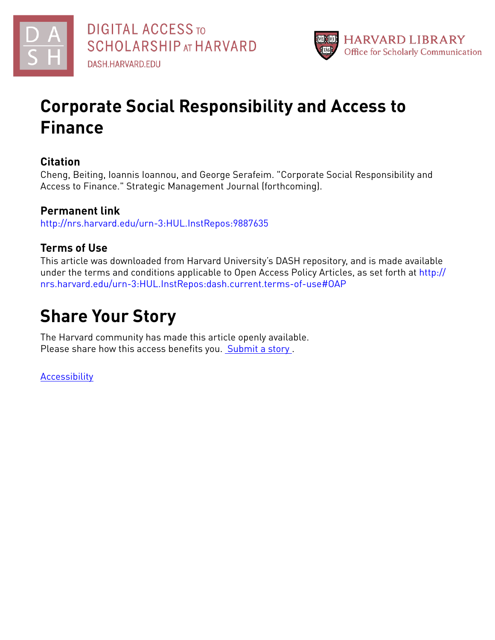



# **Corporate Social Responsibility and Access to Finance**

## **Citation**

Cheng, Beiting, Ioannis Ioannou, and George Serafeim. "Corporate Social Responsibility and Access to Finance." Strategic Management Journal (forthcoming).

# **Permanent link**

<http://nrs.harvard.edu/urn-3:HUL.InstRepos:9887635>

# **Terms of Use**

This article was downloaded from Harvard University's DASH repository, and is made available under the terms and conditions applicable to Open Access Policy Articles, as set forth at [http://](http://nrs.harvard.edu/urn-3:HUL.InstRepos:dash.current.terms-of-use#OAP) [nrs.harvard.edu/urn-3:HUL.InstRepos:dash.current.terms-of-use#OAP](http://nrs.harvard.edu/urn-3:HUL.InstRepos:dash.current.terms-of-use#OAP)

# **Share Your Story**

The Harvard community has made this article openly available. Please share how this access benefits you. [Submit](http://osc.hul.harvard.edu/dash/open-access-feedback?handle=&title=Corporate%20Social%20Responsibility%20and%20Access%20to%20Finance&community=1/3345929&collection=1/3345930&owningCollection1/3345930&harvardAuthors=3b4c2b1f2ed1ee3d0228c57c8a9d4cab&department) a story.

[Accessibility](https://dash.harvard.edu/pages/accessibility)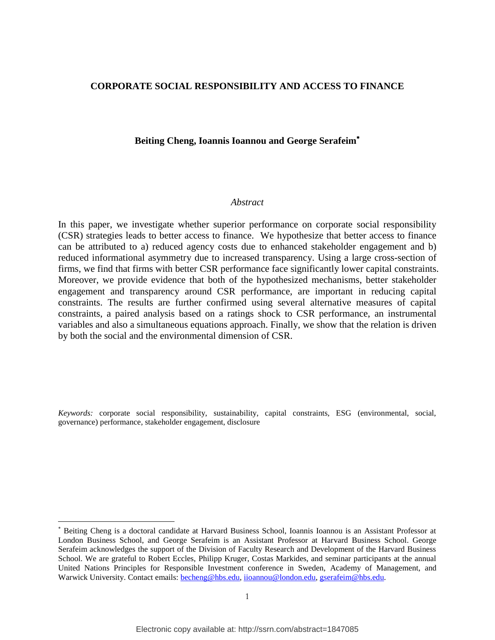#### **CORPORATE SOCIAL RESPONSIBILITY AND ACCESS TO FINANCE**

#### **Beiting Cheng, Ioannis Ioannou and George Serafeim**

#### *Abstract*

In this paper, we investigate whether superior performance on corporate social responsibility (CSR) strategies leads to better access to finance. We hypothesize that better access to finance can be attributed to a) reduced agency costs due to enhanced stakeholder engagement and b) reduced informational asymmetry due to increased transparency. Using a large cross-section of firms, we find that firms with better CSR performance face significantly lower capital constraints. Moreover, we provide evidence that both of the hypothesized mechanisms, better stakeholder engagement and transparency around CSR performance, are important in reducing capital constraints. The results are further confirmed using several alternative measures of capital constraints, a paired analysis based on a ratings shock to CSR performance, an instrumental variables and also a simultaneous equations approach. Finally, we show that the relation is driven by both the social and the environmental dimension of CSR.

*Keywords:* corporate social responsibility, sustainability, capital constraints, ESG (environmental, social, governance) performance, stakeholder engagement, disclosure

l

Beiting Cheng is a doctoral candidate at Harvard Business School, Ioannis Ioannou is an Assistant Professor at London Business School, and George Serafeim is an Assistant Professor at Harvard Business School. George Serafeim acknowledges the support of the Division of Faculty Research and Development of the Harvard Business School. We are grateful to Robert Eccles, Philipp Kruger, Costas Markides, and seminar participants at the annual United Nations Principles for Responsible Investment conference in Sweden, Academy of Management, and Warwick University. Contact emails: [becheng@hbs.edu,](mailto:becheng@hbs.edu) [iioannou@london.edu,](mailto:iioannou@london.edu) [gserafeim@hbs.edu.](mailto:gserafeim@hbs.edu)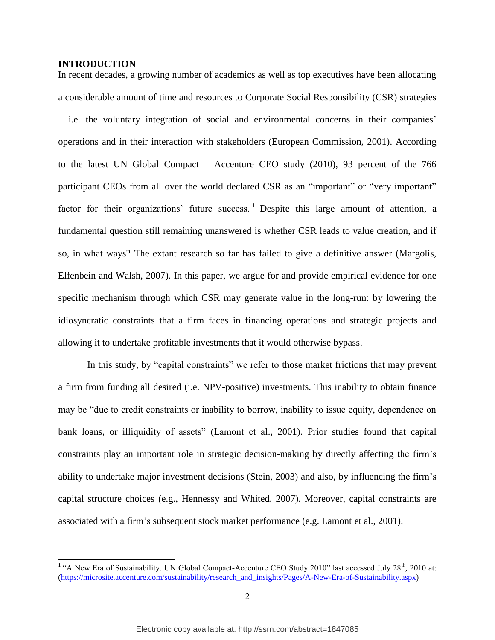#### **INTRODUCTION**

In recent decades, a growing number of academics as well as top executives have been allocating a considerable amount of time and resources to Corporate Social Responsibility (CSR) strategies – i.e. the voluntary integration of social and environmental concerns in their companies' operations and in their interaction with stakeholders (European Commission, 2001). According to the latest UN Global Compact – Accenture CEO study (2010), 93 percent of the 766 participant CEOs from all over the world declared CSR as an "important" or "very important" factor for their organizations' future success.<sup>1</sup> Despite this large amount of attention, a fundamental question still remaining unanswered is whether CSR leads to value creation, and if so, in what ways? The extant research so far has failed to give a definitive answer (Margolis, Elfenbein and Walsh, 2007). In this paper, we argue for and provide empirical evidence for one specific mechanism through which CSR may generate value in the long-run: by lowering the idiosyncratic constraints that a firm faces in financing operations and strategic projects and allowing it to undertake profitable investments that it would otherwise bypass.

In this study, by "capital constraints" we refer to those market frictions that may prevent a firm from funding all desired (i.e. NPV-positive) investments. This inability to obtain finance may be "due to credit constraints or inability to borrow, inability to issue equity, dependence on bank loans, or illiquidity of assets" (Lamont et al., 2001). Prior studies found that capital constraints play an important role in strategic decision-making by directly affecting the firm's ability to undertake major investment decisions (Stein, 2003) and also, by influencing the firm's capital structure choices (e.g., Hennessy and Whited, 2007). Moreover, capital constraints are associated with a firm's subsequent stock market performance (e.g. Lamont et al., 2001).

<sup>&</sup>lt;sup>1</sup> "A New Era of Sustainability. UN Global Compact-Accenture CEO Study 2010" last accessed July 28<sup>th</sup>, 2010 at: [\(https://microsite.accenture.com/sustainability/research\\_and\\_insights/Pages/A-New-Era-of-Sustainability.aspx\)](https://microsite.accenture.com/sustainability/research_and_insights/Pages/A-New-Era-of-Sustainability.aspx)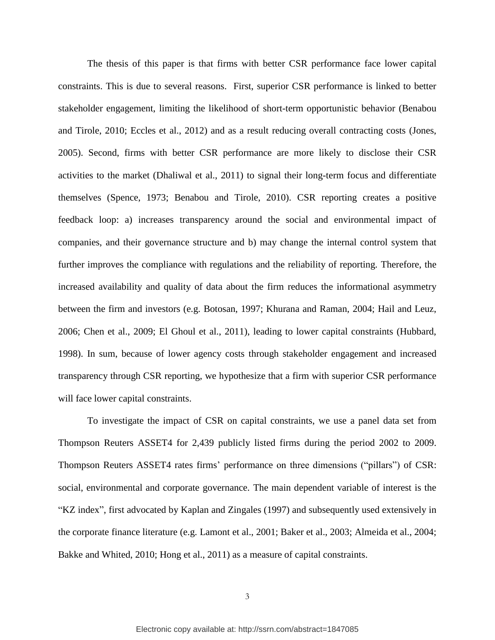The thesis of this paper is that firms with better CSR performance face lower capital constraints. This is due to several reasons. First, superior CSR performance is linked to better stakeholder engagement, limiting the likelihood of short-term opportunistic behavior (Benabou and Tirole, 2010; Eccles et al., 2012) and as a result reducing overall contracting costs (Jones, 2005). Second, firms with better CSR performance are more likely to disclose their CSR activities to the market (Dhaliwal et al., 2011) to signal their long-term focus and differentiate themselves (Spence, 1973; Benabou and Tirole, 2010). CSR reporting creates a positive feedback loop: a) increases transparency around the social and environmental impact of companies, and their governance structure and b) may change the internal control system that further improves the compliance with regulations and the reliability of reporting. Therefore, the increased availability and quality of data about the firm reduces the informational asymmetry between the firm and investors (e.g. Botosan, 1997; Khurana and Raman, 2004; Hail and Leuz, 2006; Chen et al., 2009; El Ghoul et al., 2011), leading to lower capital constraints (Hubbard, 1998). In sum, because of lower agency costs through stakeholder engagement and increased transparency through CSR reporting, we hypothesize that a firm with superior CSR performance will face lower capital constraints.

To investigate the impact of CSR on capital constraints, we use a panel data set from Thompson Reuters ASSET4 for 2,439 publicly listed firms during the period 2002 to 2009. Thompson Reuters ASSET4 rates firms' performance on three dimensions ("pillars") of CSR: social, environmental and corporate governance. The main dependent variable of interest is the "KZ index", first advocated by Kaplan and Zingales (1997) and subsequently used extensively in the corporate finance literature (e.g. Lamont et al., 2001; Baker et al., 2003; Almeida et al., 2004; Bakke and Whited, 2010; Hong et al., 2011) as a measure of capital constraints.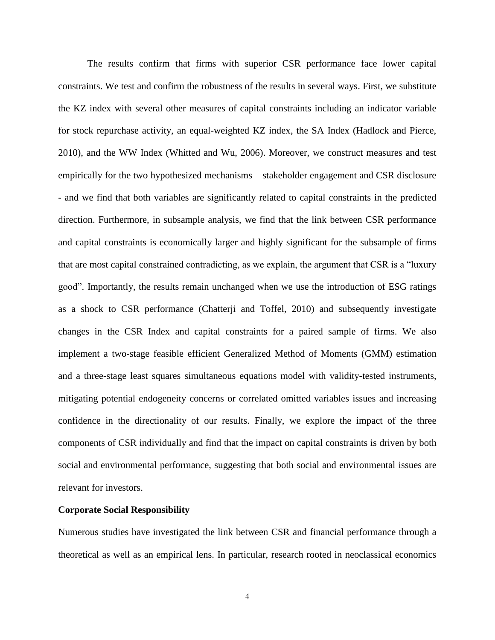The results confirm that firms with superior CSR performance face lower capital constraints. We test and confirm the robustness of the results in several ways. First, we substitute the KZ index with several other measures of capital constraints including an indicator variable for stock repurchase activity, an equal-weighted KZ index, the SA Index (Hadlock and Pierce, 2010), and the WW Index (Whitted and Wu, 2006). Moreover, we construct measures and test empirically for the two hypothesized mechanisms – stakeholder engagement and CSR disclosure - and we find that both variables are significantly related to capital constraints in the predicted direction. Furthermore, in subsample analysis, we find that the link between CSR performance and capital constraints is economically larger and highly significant for the subsample of firms that are most capital constrained contradicting, as we explain, the argument that CSR is a "luxury good". Importantly, the results remain unchanged when we use the introduction of ESG ratings as a shock to CSR performance (Chatterji and Toffel, 2010) and subsequently investigate changes in the CSR Index and capital constraints for a paired sample of firms. We also implement a two-stage feasible efficient Generalized Method of Moments (GMM) estimation and a three-stage least squares simultaneous equations model with validity-tested instruments, mitigating potential endogeneity concerns or correlated omitted variables issues and increasing confidence in the directionality of our results. Finally, we explore the impact of the three components of CSR individually and find that the impact on capital constraints is driven by both social and environmental performance, suggesting that both social and environmental issues are relevant for investors.

#### **Corporate Social Responsibility**

Numerous studies have investigated the link between CSR and financial performance through a theoretical as well as an empirical lens. In particular, research rooted in neoclassical economics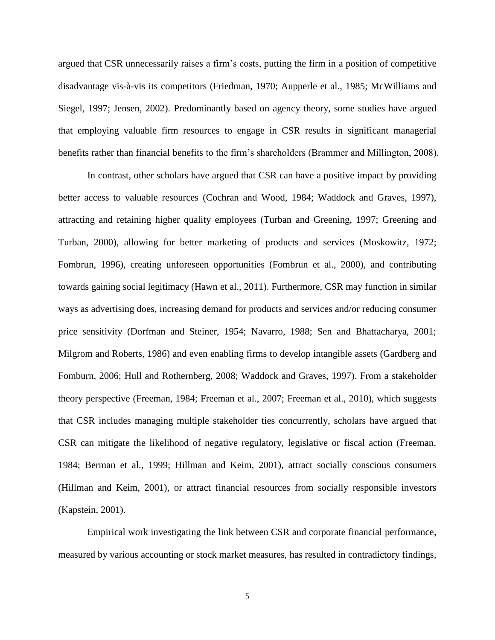argued that CSR unnecessarily raises a firm's costs, putting the firm in a position of competitive disadvantage vis-à-vis its competitors (Friedman, 1970; Aupperle et al., 1985; McWilliams and Siegel, 1997; Jensen, 2002). Predominantly based on agency theory, some studies have argued that employing valuable firm resources to engage in CSR results in significant managerial benefits rather than financial benefits to the firm's shareholders (Brammer and Millington, 2008).

In contrast, other scholars have argued that CSR can have a positive impact by providing better access to valuable resources (Cochran and Wood, 1984; Waddock and Graves, 1997), attracting and retaining higher quality employees (Turban and Greening, 1997; Greening and Turban, 2000), allowing for better marketing of products and services (Moskowitz, 1972; Fombrun, 1996), creating unforeseen opportunities (Fombrun et al., 2000), and contributing towards gaining social legitimacy (Hawn et al., 2011). Furthermore, CSR may function in similar ways as advertising does, increasing demand for products and services and/or reducing consumer price sensitivity (Dorfman and Steiner, 1954; Navarro, 1988; Sen and Bhattacharya, 2001; Milgrom and Roberts, 1986) and even enabling firms to develop intangible assets (Gardberg and Fomburn, 2006; Hull and Rothernberg, 2008; Waddock and Graves, 1997). From a stakeholder theory perspective (Freeman, 1984; Freeman et al., 2007; Freeman et al., 2010), which suggests that CSR includes managing multiple stakeholder ties concurrently, scholars have argued that CSR can mitigate the likelihood of negative regulatory, legislative or fiscal action (Freeman, 1984; Berman et al., 1999; Hillman and Keim, 2001), attract socially conscious consumers (Hillman and Keim, 2001), or attract financial resources from socially responsible investors (Kapstein, 2001).

Empirical work investigating the link between CSR and corporate financial performance, measured by various accounting or stock market measures, has resulted in contradictory findings,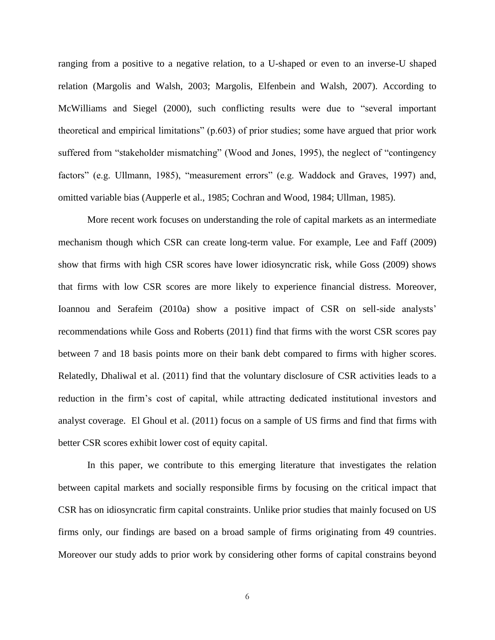ranging from a positive to a negative relation, to a U-shaped or even to an inverse-U shaped relation (Margolis and Walsh, 2003; Margolis, Elfenbein and Walsh, 2007). According to McWilliams and Siegel (2000), such conflicting results were due to "several important theoretical and empirical limitations" (p.603) of prior studies; some have argued that prior work suffered from "stakeholder mismatching" (Wood and Jones, 1995), the neglect of "contingency factors" (e.g. Ullmann, 1985), "measurement errors" (e.g. Waddock and Graves, 1997) and, omitted variable bias (Aupperle et al., 1985; Cochran and Wood, 1984; Ullman, 1985).

More recent work focuses on understanding the role of capital markets as an intermediate mechanism though which CSR can create long-term value. For example, Lee and Faff (2009) show that firms with high CSR scores have lower idiosyncratic risk, while Goss (2009) shows that firms with low CSR scores are more likely to experience financial distress. Moreover, Ioannou and Serafeim (2010a) show a positive impact of CSR on sell-side analysts' recommendations while Goss and Roberts (2011) find that firms with the worst CSR scores pay between 7 and 18 basis points more on their bank debt compared to firms with higher scores. Relatedly, Dhaliwal et al. (2011) find that the voluntary disclosure of CSR activities leads to a reduction in the firm's cost of capital, while attracting dedicated institutional investors and analyst coverage. El Ghoul et al. (2011) focus on a sample of US firms and find that firms with better CSR scores exhibit lower cost of equity capital.

In this paper, we contribute to this emerging literature that investigates the relation between capital markets and socially responsible firms by focusing on the critical impact that CSR has on idiosyncratic firm capital constraints. Unlike prior studies that mainly focused on US firms only, our findings are based on a broad sample of firms originating from 49 countries. Moreover our study adds to prior work by considering other forms of capital constrains beyond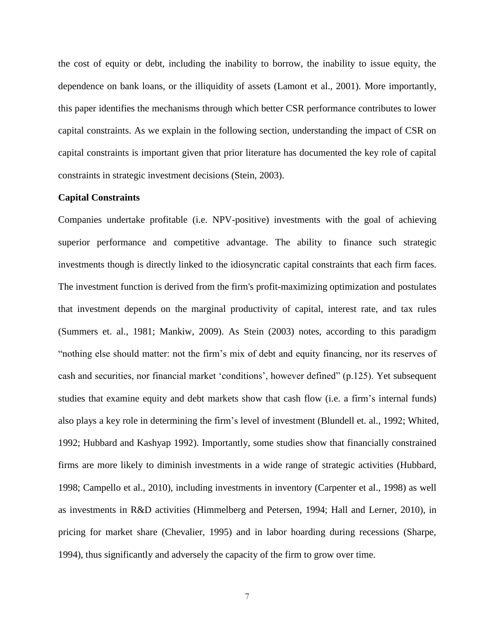the cost of equity or debt, including the inability to borrow, the inability to issue equity, the dependence on bank loans, or the illiquidity of assets (Lamont et al., 2001). More importantly, this paper identifies the mechanisms through which better CSR performance contributes to lower capital constraints. As we explain in the following section, understanding the impact of CSR on capital constraints is important given that prior literature has documented the key role of capital constraints in strategic investment decisions (Stein, 2003).

#### **Capital Constraints**

Companies undertake profitable (i.e. NPV-positive) investments with the goal of achieving superior performance and competitive advantage. The ability to finance such strategic investments though is directly linked to the idiosyncratic capital constraints that each firm faces. The investment function is derived from the firm's profit-maximizing optimization and postulates that investment depends on the marginal productivity of capital, interest rate, and tax rules (Summers et. al., 1981; Mankiw, 2009). As Stein (2003) notes, according to this paradigm "nothing else should matter: not the firm's mix of debt and equity financing, nor its reserves of cash and securities, nor financial market 'conditions', however defined" (p.125). Yet subsequent studies that examine equity and debt markets show that cash flow (i.e. a firm's internal funds) also plays a key role in determining the firm's level of investment (Blundell et. al., 1992; Whited, 1992; Hubbard and Kashyap 1992). Importantly, some studies show that financially constrained firms are more likely to diminish investments in a wide range of strategic activities (Hubbard, 1998; Campello et al., 2010), including investments in inventory (Carpenter et al., 1998) as well as investments in R&D activities (Himmelberg and Petersen, 1994; Hall and Lerner, 2010), in pricing for market share (Chevalier, 1995) and in labor hoarding during recessions (Sharpe, 1994), thus significantly and adversely the capacity of the firm to grow over time.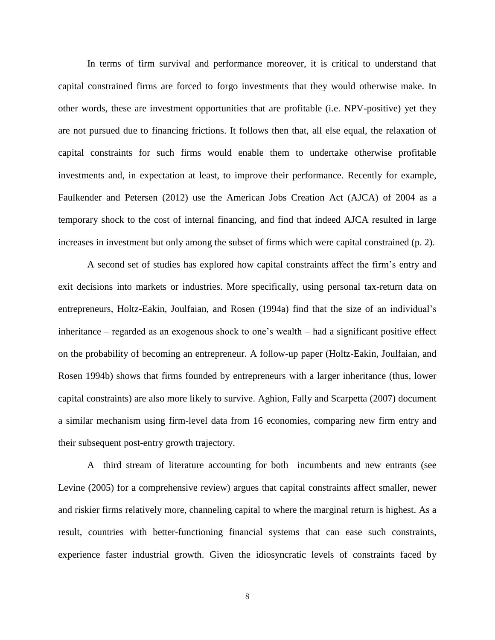In terms of firm survival and performance moreover, it is critical to understand that capital constrained firms are forced to forgo investments that they would otherwise make. In other words, these are investment opportunities that are profitable (i.e. NPV-positive) yet they are not pursued due to financing frictions. It follows then that, all else equal, the relaxation of capital constraints for such firms would enable them to undertake otherwise profitable investments and, in expectation at least, to improve their performance. Recently for example, Faulkender and Petersen (2012) use the American Jobs Creation Act (AJCA) of 2004 as a temporary shock to the cost of internal financing, and find that indeed AJCA resulted in large increases in investment but only among the subset of firms which were capital constrained (p. 2).

A second set of studies has explored how capital constraints affect the firm's entry and exit decisions into markets or industries. More specifically, using personal tax-return data on entrepreneurs, Holtz-Eakin, Joulfaian, and Rosen (1994a) find that the size of an individual's inheritance – regarded as an exogenous shock to one's wealth – had a significant positive effect on the probability of becoming an entrepreneur. A follow-up paper (Holtz-Eakin, Joulfaian, and Rosen 1994b) shows that firms founded by entrepreneurs with a larger inheritance (thus, lower capital constraints) are also more likely to survive. Aghion, Fally and Scarpetta (2007) document a similar mechanism using firm-level data from 16 economies, comparing new firm entry and their subsequent post-entry growth trajectory.

A third stream of literature accounting for both incumbents and new entrants (see Levine (2005) for a comprehensive review) argues that capital constraints affect smaller, newer and riskier firms relatively more, channeling capital to where the marginal return is highest. As a result, countries with better-functioning financial systems that can ease such constraints, experience faster industrial growth. Given the idiosyncratic levels of constraints faced by

8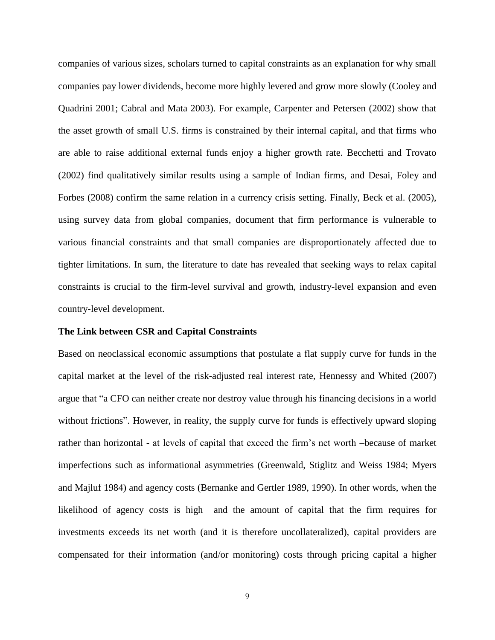companies of various sizes, scholars turned to capital constraints as an explanation for why small companies pay lower dividends, become more highly levered and grow more slowly (Cooley and Quadrini 2001; Cabral and Mata 2003). For example, Carpenter and Petersen (2002) show that the asset growth of small U.S. firms is constrained by their internal capital, and that firms who are able to raise additional external funds enjoy a higher growth rate. Becchetti and Trovato (2002) find qualitatively similar results using a sample of Indian firms, and Desai, Foley and Forbes (2008) confirm the same relation in a currency crisis setting. Finally, Beck et al. (2005), using survey data from global companies, document that firm performance is vulnerable to various financial constraints and that small companies are disproportionately affected due to tighter limitations. In sum, the literature to date has revealed that seeking ways to relax capital constraints is crucial to the firm-level survival and growth, industry-level expansion and even country-level development.

#### **The Link between CSR and Capital Constraints**

Based on neoclassical economic assumptions that postulate a flat supply curve for funds in the capital market at the level of the risk-adjusted real interest rate, Hennessy and Whited (2007) argue that "a CFO can neither create nor destroy value through his financing decisions in a world without frictions". However, in reality, the supply curve for funds is effectively upward sloping rather than horizontal - at levels of capital that exceed the firm's net worth –because of market imperfections such as informational asymmetries (Greenwald, Stiglitz and Weiss 1984; Myers and Majluf 1984) and agency costs (Bernanke and Gertler 1989, 1990). In other words, when the likelihood of agency costs is high and the amount of capital that the firm requires for investments exceeds its net worth (and it is therefore uncollateralized), capital providers are compensated for their information (and/or monitoring) costs through pricing capital a higher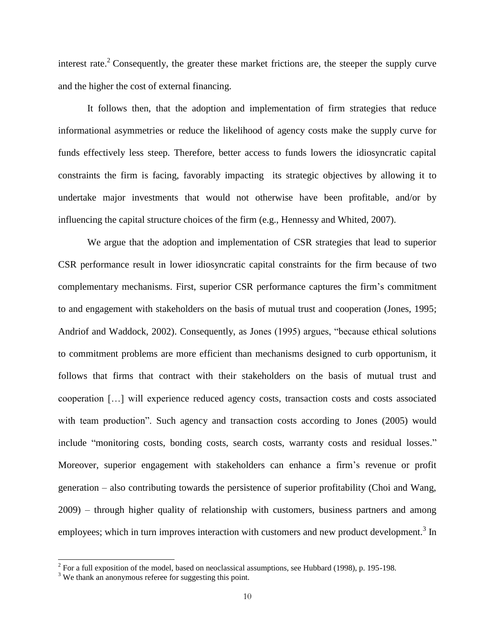interest rate.<sup>2</sup> Consequently, the greater these market frictions are, the steeper the supply curve and the higher the cost of external financing.

It follows then, that the adoption and implementation of firm strategies that reduce informational asymmetries or reduce the likelihood of agency costs make the supply curve for funds effectively less steep. Therefore, better access to funds lowers the idiosyncratic capital constraints the firm is facing, favorably impacting its strategic objectives by allowing it to undertake major investments that would not otherwise have been profitable, and/or by influencing the capital structure choices of the firm (e.g., Hennessy and Whited, 2007).

We argue that the adoption and implementation of CSR strategies that lead to superior CSR performance result in lower idiosyncratic capital constraints for the firm because of two complementary mechanisms. First, superior CSR performance captures the firm's commitment to and engagement with stakeholders on the basis of mutual trust and cooperation (Jones, 1995; Andriof and Waddock, 2002). Consequently, as Jones (1995) argues, "because ethical solutions to commitment problems are more efficient than mechanisms designed to curb opportunism, it follows that firms that contract with their stakeholders on the basis of mutual trust and cooperation […] will experience reduced agency costs, transaction costs and costs associated with team production". Such agency and transaction costs according to Jones (2005) would include "monitoring costs, bonding costs, search costs, warranty costs and residual losses." Moreover, superior engagement with stakeholders can enhance a firm's revenue or profit generation – also contributing towards the persistence of superior profitability (Choi and Wang, 2009) – through higher quality of relationship with customers, business partners and among employees; which in turn improves interaction with customers and new product development.<sup>3</sup> In

 2 For a full exposition of the model, based on neoclassical assumptions, see Hubbard (1998), p. 195-198.

<sup>&</sup>lt;sup>3</sup> We thank an anonymous referee for suggesting this point.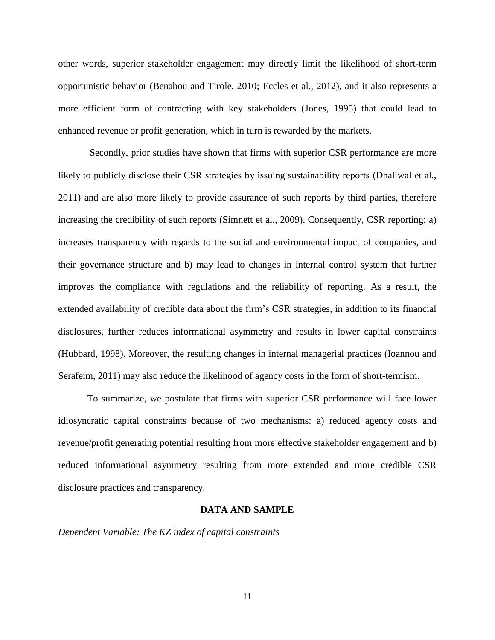other words, superior stakeholder engagement may directly limit the likelihood of short-term opportunistic behavior (Benabou and Tirole, 2010; Eccles et al., 2012), and it also represents a more efficient form of contracting with key stakeholders (Jones, 1995) that could lead to enhanced revenue or profit generation, which in turn is rewarded by the markets.

Secondly, prior studies have shown that firms with superior CSR performance are more likely to publicly disclose their CSR strategies by issuing sustainability reports (Dhaliwal et al., 2011) and are also more likely to provide assurance of such reports by third parties, therefore increasing the credibility of such reports (Simnett et al., 2009). Consequently, CSR reporting: a) increases transparency with regards to the social and environmental impact of companies, and their governance structure and b) may lead to changes in internal control system that further improves the compliance with regulations and the reliability of reporting. As a result, the extended availability of credible data about the firm's CSR strategies, in addition to its financial disclosures, further reduces informational asymmetry and results in lower capital constraints (Hubbard, 1998). Moreover, the resulting changes in internal managerial practices (Ioannou and Serafeim, 2011) may also reduce the likelihood of agency costs in the form of short-termism.

To summarize, we postulate that firms with superior CSR performance will face lower idiosyncratic capital constraints because of two mechanisms: a) reduced agency costs and revenue/profit generating potential resulting from more effective stakeholder engagement and b) reduced informational asymmetry resulting from more extended and more credible CSR disclosure practices and transparency.

#### **DATA AND SAMPLE**

*Dependent Variable: The KZ index of capital constraints*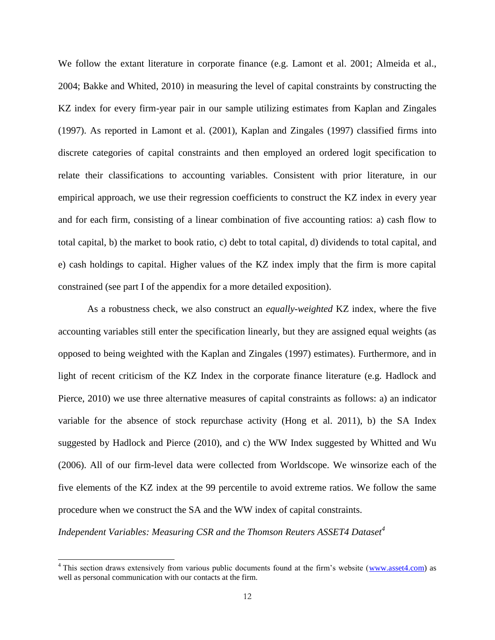We follow the extant literature in corporate finance (e.g. Lamont et al. 2001; Almeida et al., 2004; Bakke and Whited, 2010) in measuring the level of capital constraints by constructing the KZ index for every firm-year pair in our sample utilizing estimates from Kaplan and Zingales (1997). As reported in Lamont et al. (2001), Kaplan and Zingales (1997) classified firms into discrete categories of capital constraints and then employed an ordered logit specification to relate their classifications to accounting variables. Consistent with prior literature, in our empirical approach, we use their regression coefficients to construct the KZ index in every year and for each firm, consisting of a linear combination of five accounting ratios: a) cash flow to total capital, b) the market to book ratio, c) debt to total capital, d) dividends to total capital, and e) cash holdings to capital. Higher values of the KZ index imply that the firm is more capital constrained (see part I of the appendix for a more detailed exposition).

As a robustness check, we also construct an *equally-weighted* KZ index, where the five accounting variables still enter the specification linearly, but they are assigned equal weights (as opposed to being weighted with the Kaplan and Zingales (1997) estimates). Furthermore, and in light of recent criticism of the KZ Index in the corporate finance literature (e.g. Hadlock and Pierce, 2010) we use three alternative measures of capital constraints as follows: a) an indicator variable for the absence of stock repurchase activity (Hong et al. 2011), b) the SA Index suggested by Hadlock and Pierce (2010), and c) the WW Index suggested by Whitted and Wu (2006). All of our firm-level data were collected from Worldscope. We winsorize each of the five elements of the KZ index at the 99 percentile to avoid extreme ratios. We follow the same procedure when we construct the SA and the WW index of capital constraints.

*Independent Variables: Measuring CSR and the Thomson Reuters ASSET4 Dataset<sup>4</sup>*

 $\overline{a}$ 

 $4$  This section draws extensively from various public documents found at the firm's website [\(www.asset4.com\)](http://www.asset4.com/) as well as personal communication with our contacts at the firm.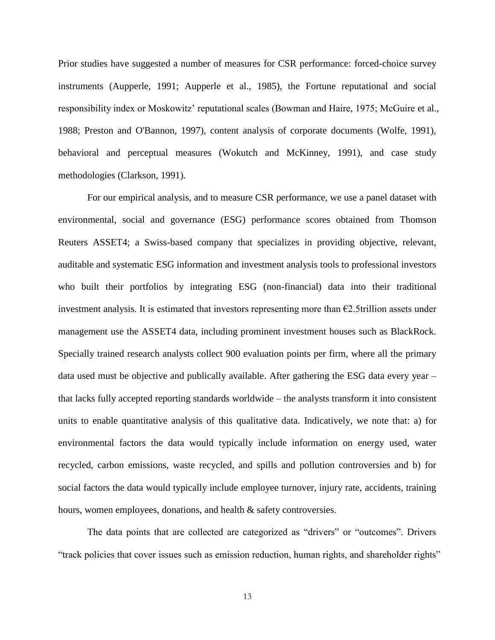Prior studies have suggested a number of measures for CSR performance: forced-choice survey instruments (Aupperle, 1991; Aupperle et al., 1985), the Fortune reputational and social responsibility index or Moskowitz' reputational scales (Bowman and Haire, 1975; McGuire et al., 1988; Preston and O'Bannon, 1997), content analysis of corporate documents (Wolfe, 1991), behavioral and perceptual measures (Wokutch and McKinney, 1991), and case study methodologies (Clarkson, 1991).

For our empirical analysis, and to measure CSR performance, we use a panel dataset with environmental, social and governance (ESG) performance scores obtained from Thomson Reuters ASSET4; a Swiss-based company that specializes in providing objective, relevant, auditable and systematic ESG information and investment analysis tools to professional investors who built their portfolios by integrating ESG (non-financial) data into their traditional investment analysis. It is estimated that investors representing more than €2.5trillion assets under management use the ASSET4 data, including prominent investment houses such as BlackRock. Specially trained research analysts collect 900 evaluation points per firm, where all the primary data used must be objective and publically available. After gathering the ESG data every year – that lacks fully accepted reporting standards worldwide – the analysts transform it into consistent units to enable quantitative analysis of this qualitative data. Indicatively, we note that: a) for environmental factors the data would typically include information on energy used, water recycled, carbon emissions, waste recycled, and spills and pollution controversies and b) for social factors the data would typically include employee turnover, injury rate, accidents, training hours, women employees, donations, and health & safety controversies.

The data points that are collected are categorized as "drivers" or "outcomes". Drivers "track policies that cover issues such as emission reduction, human rights, and shareholder rights"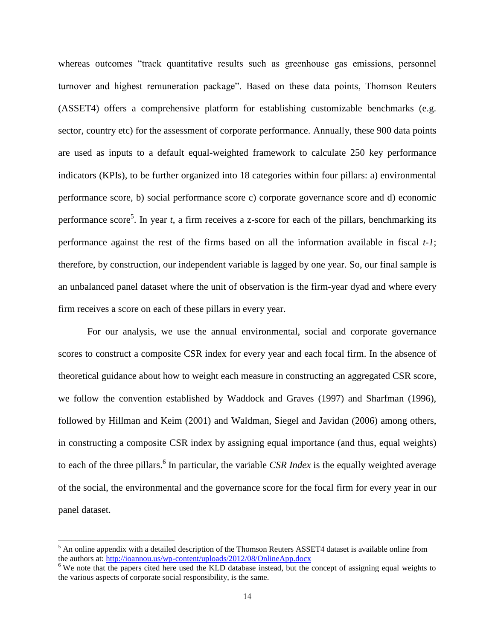whereas outcomes "track quantitative results such as greenhouse gas emissions, personnel turnover and highest remuneration package". Based on these data points, Thomson Reuters (ASSET4) offers a comprehensive platform for establishing customizable benchmarks (e.g. sector, country etc) for the assessment of corporate performance. Annually, these 900 data points are used as inputs to a default equal-weighted framework to calculate 250 key performance indicators (KPIs), to be further organized into 18 categories within four pillars: a) environmental performance score, b) social performance score c) corporate governance score and d) economic performance score<sup>5</sup>. In year *t*, a firm receives a z-score for each of the pillars, benchmarking its performance against the rest of the firms based on all the information available in fiscal *t-1*; therefore, by construction, our independent variable is lagged by one year. So, our final sample is an unbalanced panel dataset where the unit of observation is the firm-year dyad and where every firm receives a score on each of these pillars in every year.

For our analysis, we use the annual environmental, social and corporate governance scores to construct a composite CSR index for every year and each focal firm. In the absence of theoretical guidance about how to weight each measure in constructing an aggregated CSR score, we follow the convention established by Waddock and Graves (1997) and Sharfman (1996), followed by Hillman and Keim (2001) and Waldman, Siegel and Javidan (2006) among others, in constructing a composite CSR index by assigning equal importance (and thus, equal weights) to each of the three pillars. 6 In particular, the variable *CSR Index* is the equally weighted average of the social, the environmental and the governance score for the focal firm for every year in our panel dataset.

 $\overline{a}$ 

 $<sup>5</sup>$  An online appendix with a detailed description of the Thomson Reuters ASSET4 dataset is available online from</sup> the authors at:<http://ioannou.us/wp-content/uploads/2012/08/OnlineApp.docx>

<sup>&</sup>lt;sup>6</sup> We note that the papers cited here used the KLD database instead, but the concept of assigning equal weights to the various aspects of corporate social responsibility, is the same.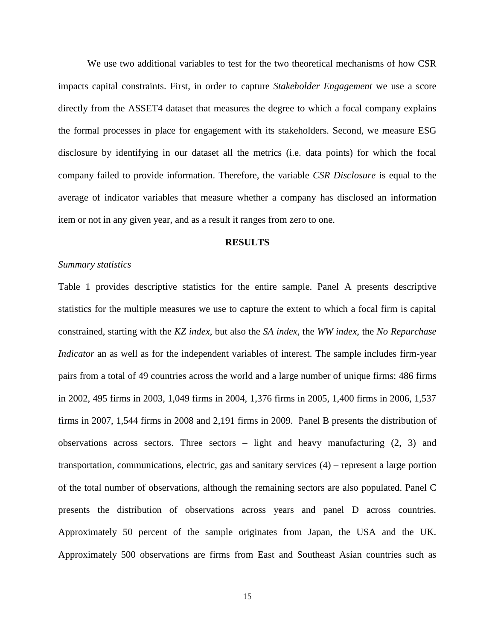We use two additional variables to test for the two theoretical mechanisms of how CSR impacts capital constraints. First, in order to capture *Stakeholder Engagement* we use a score directly from the ASSET4 dataset that measures the degree to which a focal company explains the formal processes in place for engagement with its stakeholders. Second, we measure ESG disclosure by identifying in our dataset all the metrics (i.e. data points) for which the focal company failed to provide information. Therefore, the variable *CSR Disclosure* is equal to the average of indicator variables that measure whether a company has disclosed an information item or not in any given year, and as a result it ranges from zero to one.

#### **RESULTS**

#### *Summary statistics*

Table 1 provides descriptive statistics for the entire sample. Panel A presents descriptive statistics for the multiple measures we use to capture the extent to which a focal firm is capital constrained, starting with the *KZ index*, but also the *SA index*, the *WW index,* the *No Repurchase Indicator* an as well as for the independent variables of interest. The sample includes firm-year pairs from a total of 49 countries across the world and a large number of unique firms: 486 firms in 2002, 495 firms in 2003, 1,049 firms in 2004, 1,376 firms in 2005, 1,400 firms in 2006, 1,537 firms in 2007, 1,544 firms in 2008 and 2,191 firms in 2009. Panel B presents the distribution of observations across sectors. Three sectors – light and heavy manufacturing (2, 3) and transportation, communications, electric, gas and sanitary services (4) – represent a large portion of the total number of observations, although the remaining sectors are also populated. Panel C presents the distribution of observations across years and panel D across countries. Approximately 50 percent of the sample originates from Japan, the USA and the UK. Approximately 500 observations are firms from East and Southeast Asian countries such as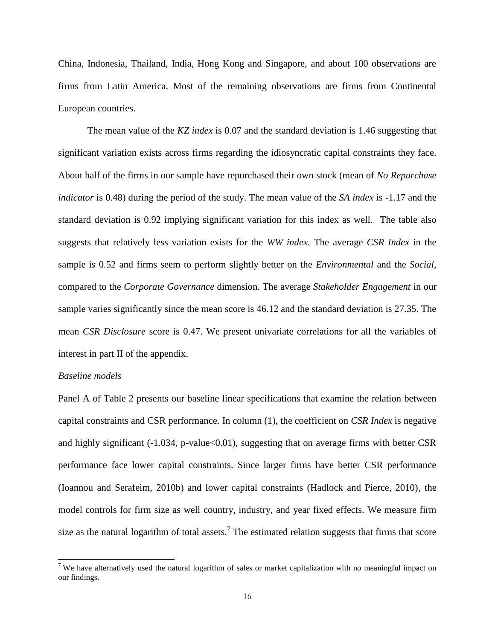China, Indonesia, Thailand, India, Hong Kong and Singapore, and about 100 observations are firms from Latin America. Most of the remaining observations are firms from Continental European countries.

The mean value of the *KZ index* is 0.07 and the standard deviation is 1.46 suggesting that significant variation exists across firms regarding the idiosyncratic capital constraints they face. About half of the firms in our sample have repurchased their own stock (mean of *No Repurchase indicator* is 0.48) during the period of the study. The mean value of the *SA index* is -1.17 and the standard deviation is 0.92 implying significant variation for this index as well. The table also suggests that relatively less variation exists for the *WW index.* The average *CSR Index* in the sample is 0.52 and firms seem to perform slightly better on the *Environmental* and the *Social*, compared to the *Corporate Governance* dimension. The average *Stakeholder Engagement* in our sample varies significantly since the mean score is 46.12 and the standard deviation is 27.35. The mean *CSR Disclosure* score is 0.47. We present univariate correlations for all the variables of interest in part II of the appendix.

#### *Baseline models*

 $\overline{a}$ 

Panel A of Table 2 presents our baseline linear specifications that examine the relation between capital constraints and CSR performance. In column (1), the coefficient on *CSR Index* is negative and highly significant (-1.034, p-value<0.01), suggesting that on average firms with better CSR performance face lower capital constraints. Since larger firms have better CSR performance (Ioannou and Serafeim, 2010b) and lower capital constraints (Hadlock and Pierce, 2010), the model controls for firm size as well country, industry, and year fixed effects. We measure firm size as the natural logarithm of total assets.<sup>7</sup> The estimated relation suggests that firms that score

<sup>&</sup>lt;sup>7</sup> We have alternatively used the natural logarithm of sales or market capitalization with no meaningful impact on our findings.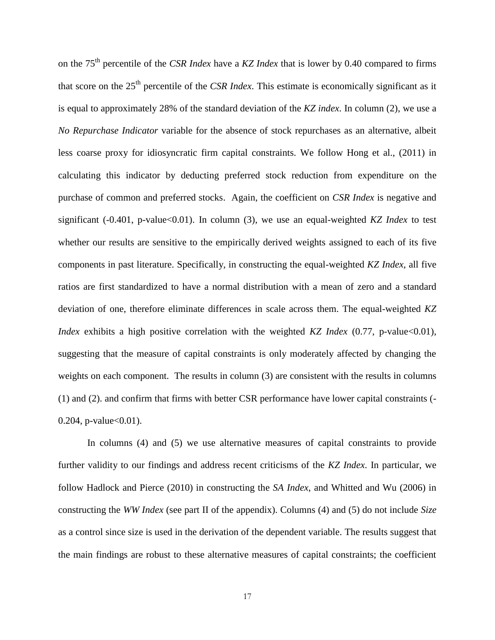on the 75th percentile of the *CSR Index* have a *KZ Index* that is lower by 0.40 compared to firms that score on the 25th percentile of the *CSR Index*. This estimate is economically significant as it is equal to approximately 28% of the standard deviation of the *KZ index*. In column (2), we use a *No Repurchase Indicator* variable for the absence of stock repurchases as an alternative, albeit less coarse proxy for idiosyncratic firm capital constraints. We follow Hong et al., (2011) in calculating this indicator by deducting preferred stock reduction from expenditure on the purchase of common and preferred stocks. Again, the coefficient on *CSR Index* is negative and significant (-0.401, p-value<0.01). In column (3), we use an equal-weighted *KZ Index* to test whether our results are sensitive to the empirically derived weights assigned to each of its five components in past literature. Specifically, in constructing the equal-weighted *KZ Index*, all five ratios are first standardized to have a normal distribution with a mean of zero and a standard deviation of one, therefore eliminate differences in scale across them. The equal-weighted *KZ Index* exhibits a high positive correlation with the weighted *KZ Index* (0.77, p-value<0.01), suggesting that the measure of capital constraints is only moderately affected by changing the weights on each component. The results in column (3) are consistent with the results in columns (1) and (2). and confirm that firms with better CSR performance have lower capital constraints (-  $0.204$ , p-value $< 0.01$ ).

In columns (4) and (5) we use alternative measures of capital constraints to provide further validity to our findings and address recent criticisms of the *KZ Index*. In particular, we follow Hadlock and Pierce (2010) in constructing the *SA Index*, and Whitted and Wu (2006) in constructing the *WW Index* (see part II of the appendix). Columns (4) and (5) do not include *Size* as a control since size is used in the derivation of the dependent variable. The results suggest that the main findings are robust to these alternative measures of capital constraints; the coefficient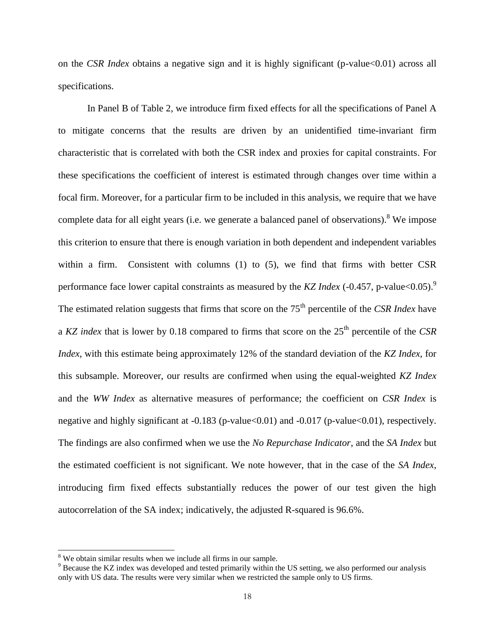on the *CSR Index* obtains a negative sign and it is highly significant (p-value<0.01) across all specifications.

In Panel B of Table 2, we introduce firm fixed effects for all the specifications of Panel A to mitigate concerns that the results are driven by an unidentified time-invariant firm characteristic that is correlated with both the CSR index and proxies for capital constraints. For these specifications the coefficient of interest is estimated through changes over time within a focal firm. Moreover, for a particular firm to be included in this analysis, we require that we have complete data for all eight years (i.e. we generate a balanced panel of observations).<sup>8</sup> We impose this criterion to ensure that there is enough variation in both dependent and independent variables within a firm. Consistent with columns (1) to (5), we find that firms with better CSR performance face lower capital constraints as measured by the *KZ Index* (-0.457, p-value<0.05). 9 The estimated relation suggests that firms that score on the 75<sup>th</sup> percentile of the *CSR Index* have a *KZ index* that is lower by 0.18 compared to firms that score on the 25<sup>th</sup> percentile of the *CSR Index*, with this estimate being approximately 12% of the standard deviation of the *KZ Index*, for this subsample. Moreover, our results are confirmed when using the equal-weighted *KZ Index* and the *WW Index* as alternative measures of performance; the coefficient on *CSR Index* is negative and highly significant at -0.183 (p-value < 0.01) and -0.017 (p-value < 0.01), respectively. The findings are also confirmed when we use the *No Repurchase Indicator*, and the *SA Index* but the estimated coefficient is not significant. We note however, that in the case of the *SA Index*, introducing firm fixed effects substantially reduces the power of our test given the high autocorrelation of the SA index; indicatively, the adjusted R-squared is 96.6%.

l

<sup>&</sup>lt;sup>8</sup> We obtain similar results when we include all firms in our sample.

<sup>&</sup>lt;sup>9</sup> Because the KZ index was developed and tested primarily within the US setting, we also performed our analysis only with US data. The results were very similar when we restricted the sample only to US firms.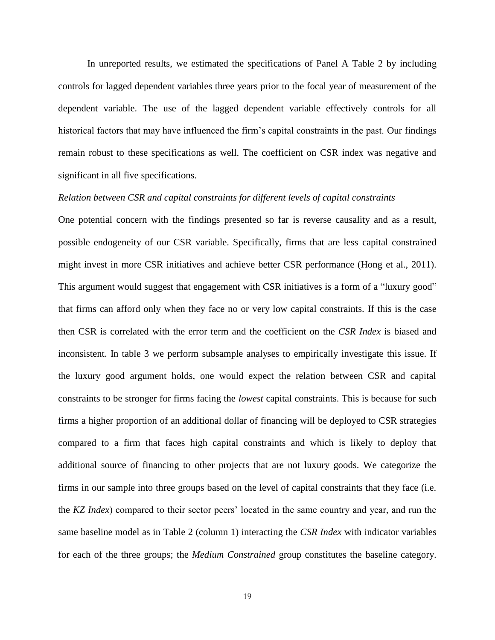In unreported results, we estimated the specifications of Panel A Table 2 by including controls for lagged dependent variables three years prior to the focal year of measurement of the dependent variable. The use of the lagged dependent variable effectively controls for all historical factors that may have influenced the firm's capital constraints in the past. Our findings remain robust to these specifications as well. The coefficient on CSR index was negative and significant in all five specifications.

#### *Relation between CSR and capital constraints for different levels of capital constraints*

One potential concern with the findings presented so far is reverse causality and as a result, possible endogeneity of our CSR variable. Specifically, firms that are less capital constrained might invest in more CSR initiatives and achieve better CSR performance (Hong et al., 2011). This argument would suggest that engagement with CSR initiatives is a form of a "luxury good" that firms can afford only when they face no or very low capital constraints. If this is the case then CSR is correlated with the error term and the coefficient on the *CSR Index* is biased and inconsistent. In table 3 we perform subsample analyses to empirically investigate this issue. If the luxury good argument holds, one would expect the relation between CSR and capital constraints to be stronger for firms facing the *lowest* capital constraints. This is because for such firms a higher proportion of an additional dollar of financing will be deployed to CSR strategies compared to a firm that faces high capital constraints and which is likely to deploy that additional source of financing to other projects that are not luxury goods. We categorize the firms in our sample into three groups based on the level of capital constraints that they face (i.e. the *KZ Index*) compared to their sector peers' located in the same country and year, and run the same baseline model as in Table 2 (column 1) interacting the *CSR Index* with indicator variables for each of the three groups; the *Medium Constrained* group constitutes the baseline category.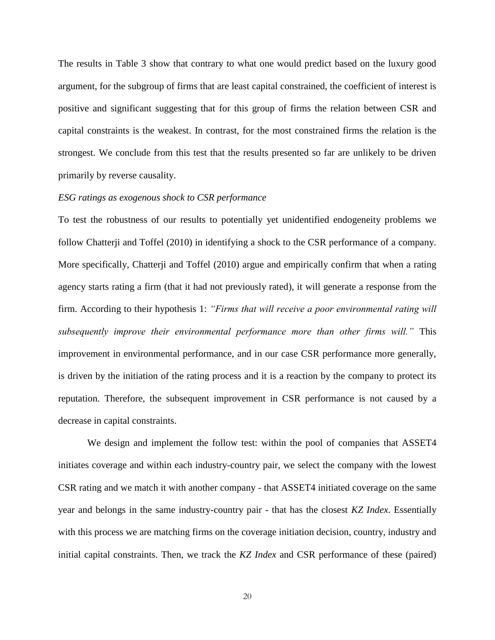The results in Table 3 show that contrary to what one would predict based on the luxury good argument, for the subgroup of firms that are least capital constrained, the coefficient of interest is positive and significant suggesting that for this group of firms the relation between CSR and capital constraints is the weakest. In contrast, for the most constrained firms the relation is the strongest. We conclude from this test that the results presented so far are unlikely to be driven primarily by reverse causality.

#### *ESG ratings as exogenous shock to CSR performance*

To test the robustness of our results to potentially yet unidentified endogeneity problems we follow Chatterji and Toffel (2010) in identifying a shock to the CSR performance of a company. More specifically, Chatterji and Toffel (2010) argue and empirically confirm that when a rating agency starts rating a firm (that it had not previously rated), it will generate a response from the firm. According to their hypothesis 1: *"Firms that will receive a poor environmental rating will subsequently improve their environmental performance more than other firms will."* This improvement in environmental performance, and in our case CSR performance more generally, is driven by the initiation of the rating process and it is a reaction by the company to protect its reputation. Therefore, the subsequent improvement in CSR performance is not caused by a decrease in capital constraints.

We design and implement the follow test: within the pool of companies that ASSET4 initiates coverage and within each industry-country pair, we select the company with the lowest CSR rating and we match it with another company - that ASSET4 initiated coverage on the same year and belongs in the same industry-country pair - that has the closest *KZ Index*. Essentially with this process we are matching firms on the coverage initiation decision, country, industry and initial capital constraints. Then, we track the *KZ Index* and CSR performance of these (paired)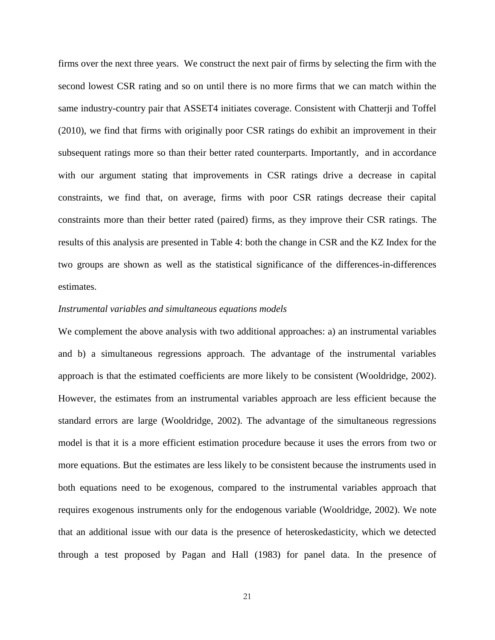firms over the next three years. We construct the next pair of firms by selecting the firm with the second lowest CSR rating and so on until there is no more firms that we can match within the same industry-country pair that ASSET4 initiates coverage. Consistent with Chatterji and Toffel (2010), we find that firms with originally poor CSR ratings do exhibit an improvement in their subsequent ratings more so than their better rated counterparts. Importantly, and in accordance with our argument stating that improvements in CSR ratings drive a decrease in capital constraints, we find that, on average, firms with poor CSR ratings decrease their capital constraints more than their better rated (paired) firms, as they improve their CSR ratings. The results of this analysis are presented in Table 4: both the change in CSR and the KZ Index for the two groups are shown as well as the statistical significance of the differences-in-differences estimates.

#### *Instrumental variables and simultaneous equations models*

We complement the above analysis with two additional approaches: a) an instrumental variables and b) a simultaneous regressions approach. The advantage of the instrumental variables approach is that the estimated coefficients are more likely to be consistent (Wooldridge, 2002). However, the estimates from an instrumental variables approach are less efficient because the standard errors are large (Wooldridge, 2002). The advantage of the simultaneous regressions model is that it is a more efficient estimation procedure because it uses the errors from two or more equations. But the estimates are less likely to be consistent because the instruments used in both equations need to be exogenous, compared to the instrumental variables approach that requires exogenous instruments only for the endogenous variable (Wooldridge, 2002). We note that an additional issue with our data is the presence of heteroskedasticity, which we detected through a test proposed by Pagan and Hall (1983) for panel data. In the presence of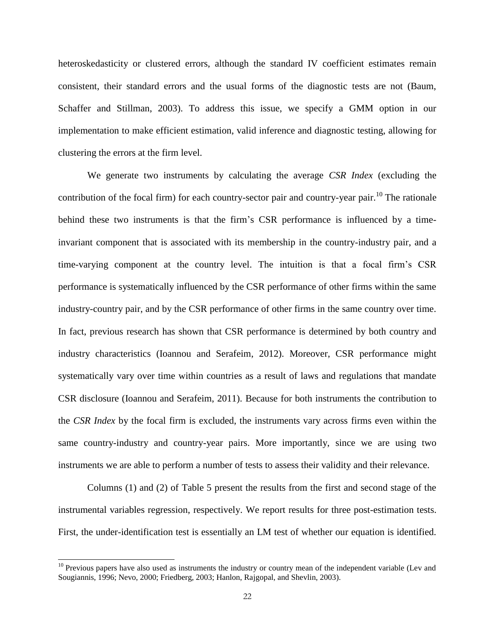heteroskedasticity or clustered errors, although the standard IV coefficient estimates remain consistent, their standard errors and the usual forms of the diagnostic tests are not (Baum, Schaffer and Stillman, 2003). To address this issue, we specify a GMM option in our implementation to make efficient estimation, valid inference and diagnostic testing, allowing for clustering the errors at the firm level.

We generate two instruments by calculating the average *CSR Index* (excluding the contribution of the focal firm) for each country-sector pair and country-year pair.<sup>10</sup> The rationale behind these two instruments is that the firm's CSR performance is influenced by a timeinvariant component that is associated with its membership in the country-industry pair, and a time-varying component at the country level. The intuition is that a focal firm's CSR performance is systematically influenced by the CSR performance of other firms within the same industry-country pair, and by the CSR performance of other firms in the same country over time. In fact, previous research has shown that CSR performance is determined by both country and industry characteristics (Ioannou and Serafeim, 2012). Moreover, CSR performance might systematically vary over time within countries as a result of laws and regulations that mandate CSR disclosure (Ioannou and Serafeim, 2011). Because for both instruments the contribution to the *CSR Index* by the focal firm is excluded, the instruments vary across firms even within the same country-industry and country-year pairs. More importantly, since we are using two instruments we are able to perform a number of tests to assess their validity and their relevance.

Columns (1) and (2) of Table 5 present the results from the first and second stage of the instrumental variables regression, respectively. We report results for three post-estimation tests. First, the under-identification test is essentially an LM test of whether our equation is identified.

 $\overline{a}$ 

 $10$  Previous papers have also used as instruments the industry or country mean of the independent variable (Lev and Sougiannis, 1996; Nevo, 2000; Friedberg, 2003; Hanlon, Rajgopal, and Shevlin, 2003).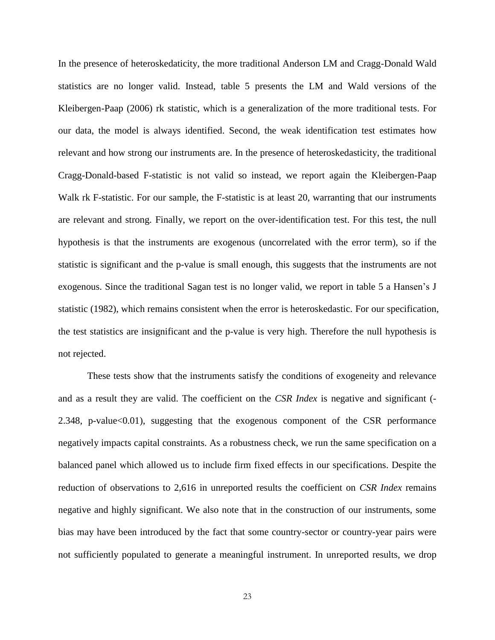In the presence of heteroskedaticity, the more traditional Anderson LM and Cragg-Donald Wald statistics are no longer valid. Instead, table 5 presents the LM and Wald versions of the Kleibergen-Paap (2006) rk statistic, which is a generalization of the more traditional tests. For our data, the model is always identified. Second, the weak identification test estimates how relevant and how strong our instruments are. In the presence of heteroskedasticity, the traditional Cragg-Donald-based F-statistic is not valid so instead, we report again the Kleibergen-Paap Walk rk F-statistic. For our sample, the F-statistic is at least 20, warranting that our instruments are relevant and strong. Finally, we report on the over-identification test. For this test, the null hypothesis is that the instruments are exogenous (uncorrelated with the error term), so if the statistic is significant and the p-value is small enough, this suggests that the instruments are not exogenous. Since the traditional Sagan test is no longer valid, we report in table 5 a Hansen's J statistic (1982), which remains consistent when the error is heteroskedastic. For our specification, the test statistics are insignificant and the p-value is very high. Therefore the null hypothesis is not rejected.

These tests show that the instruments satisfy the conditions of exogeneity and relevance and as a result they are valid. The coefficient on the *CSR Index* is negative and significant (- 2.348, p-value<0.01), suggesting that the exogenous component of the CSR performance negatively impacts capital constraints. As a robustness check, we run the same specification on a balanced panel which allowed us to include firm fixed effects in our specifications. Despite the reduction of observations to 2,616 in unreported results the coefficient on *CSR Index* remains negative and highly significant. We also note that in the construction of our instruments, some bias may have been introduced by the fact that some country-sector or country-year pairs were not sufficiently populated to generate a meaningful instrument. In unreported results, we drop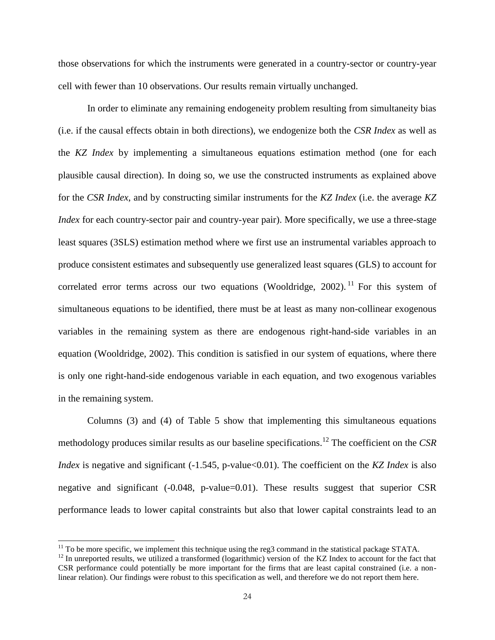those observations for which the instruments were generated in a country-sector or country-year cell with fewer than 10 observations. Our results remain virtually unchanged.

In order to eliminate any remaining endogeneity problem resulting from simultaneity bias (i.e. if the causal effects obtain in both directions), we endogenize both the *CSR Index* as well as the *KZ Index* by implementing a simultaneous equations estimation method (one for each plausible causal direction). In doing so, we use the constructed instruments as explained above for the *CSR Index*, and by constructing similar instruments for the *KZ Index* (i.e. the average *KZ Index* for each country-sector pair and country-year pair). More specifically, we use a three-stage least squares (3SLS) estimation method where we first use an instrumental variables approach to produce consistent estimates and subsequently use generalized least squares (GLS) to account for correlated error terms across our two equations (Wooldridge, 2002).<sup>11</sup> For this system of simultaneous equations to be identified, there must be at least as many non-collinear exogenous variables in the remaining system as there are endogenous right-hand-side variables in an equation (Wooldridge, 2002). This condition is satisfied in our system of equations, where there is only one right-hand-side endogenous variable in each equation, and two exogenous variables in the remaining system.

Columns (3) and (4) of Table 5 show that implementing this simultaneous equations methodology produces similar results as our baseline specifications.<sup>12</sup> The coefficient on the *CSR Index* is negative and significant (-1.545, p-value<0.01). The coefficient on the *KZ Index* is also negative and significant (-0.048, p-value=0.01). These results suggest that superior CSR performance leads to lower capital constraints but also that lower capital constraints lead to an

 $\overline{\phantom{a}}$ 

 $11$  To be more specific, we implement this technique using the reg3 command in the statistical package STATA.

<sup>&</sup>lt;sup>12</sup> In unreported results, we utilized a transformed (logarithmic) version of the KZ Index to account for the fact that CSR performance could potentially be more important for the firms that are least capital constrained (i.e. a nonlinear relation). Our findings were robust to this specification as well, and therefore we do not report them here.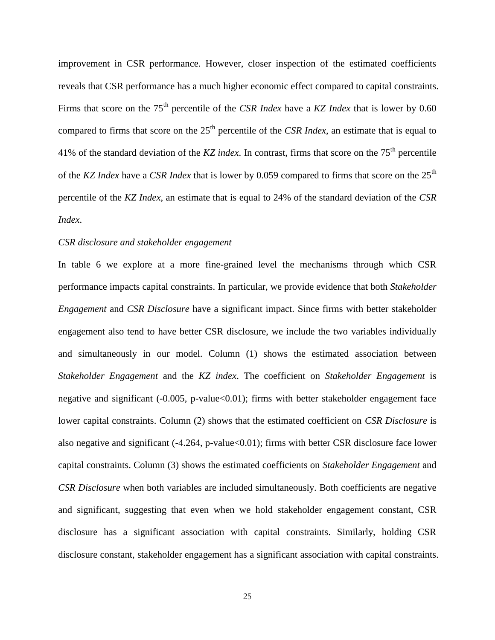improvement in CSR performance. However, closer inspection of the estimated coefficients reveals that CSR performance has a much higher economic effect compared to capital constraints. Firms that score on the 75<sup>th</sup> percentile of the *CSR Index* have a *KZ Index* that is lower by 0.60 compared to firms that score on the 25<sup>th</sup> percentile of the *CSR Index*, an estimate that is equal to 41% of the standard deviation of the *KZ index*. In contrast, firms that score on the 75th percentile of the *KZ Index* have a *CSR Index* that is lower by 0.059 compared to firms that score on the 25<sup>th</sup> percentile of the *KZ Index*, an estimate that is equal to 24% of the standard deviation of the *CSR Index*.

#### *CSR disclosure and stakeholder engagement*

In table 6 we explore at a more fine-grained level the mechanisms through which CSR performance impacts capital constraints. In particular, we provide evidence that both *Stakeholder Engagement* and *CSR Disclosure* have a significant impact. Since firms with better stakeholder engagement also tend to have better CSR disclosure, we include the two variables individually and simultaneously in our model. Column (1) shows the estimated association between *Stakeholder Engagement* and the *KZ index*. The coefficient on *Stakeholder Engagement* is negative and significant (-0.005, p-value<0.01); firms with better stakeholder engagement face lower capital constraints. Column (2) shows that the estimated coefficient on *CSR Disclosure* is also negative and significant (-4.264, p-value<0.01); firms with better CSR disclosure face lower capital constraints. Column (3) shows the estimated coefficients on *Stakeholder Engagement* and *CSR Disclosure* when both variables are included simultaneously. Both coefficients are negative and significant, suggesting that even when we hold stakeholder engagement constant, CSR disclosure has a significant association with capital constraints. Similarly, holding CSR disclosure constant, stakeholder engagement has a significant association with capital constraints.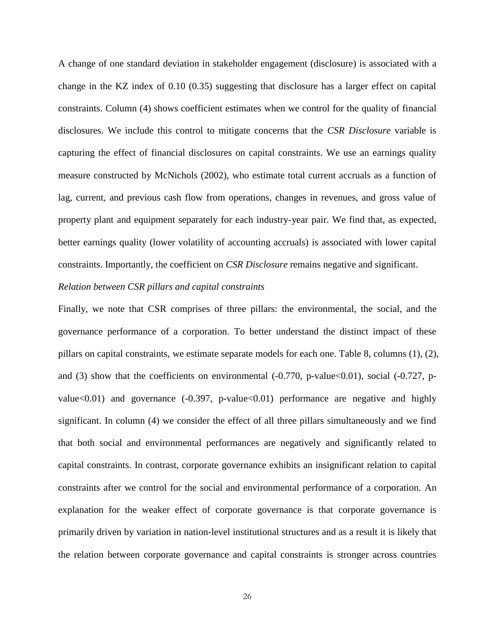A change of one standard deviation in stakeholder engagement (disclosure) is associated with a change in the KZ index of 0.10 (0.35) suggesting that disclosure has a larger effect on capital constraints. Column (4) shows coefficient estimates when we control for the quality of financial disclosures. We include this control to mitigate concerns that the *CSR Disclosure* variable is capturing the effect of financial disclosures on capital constraints. We use an earnings quality measure constructed by McNichols (2002), who estimate total current accruals as a function of lag, current, and previous cash flow from operations, changes in revenues, and gross value of property plant and equipment separately for each industry-year pair. We find that, as expected, better earnings quality (lower volatility of accounting accruals) is associated with lower capital constraints. Importantly, the coefficient on *CSR Disclosure* remains negative and significant.

#### *Relation between CSR pillars and capital constraints*

Finally, we note that CSR comprises of three pillars: the environmental, the social, and the governance performance of a corporation. To better understand the distinct impact of these pillars on capital constraints, we estimate separate models for each one. Table 8, columns (1), (2), and (3) show that the coefficients on environmental  $(-0.770, p-value<0.01)$ , social  $(-0.727, p-)$ value $<0.01$ ) and governance  $(-0.397, p-value < 0.01)$  performance are negative and highly significant. In column (4) we consider the effect of all three pillars simultaneously and we find that both social and environmental performances are negatively and significantly related to capital constraints. In contrast, corporate governance exhibits an insignificant relation to capital constraints after we control for the social and environmental performance of a corporation. An explanation for the weaker effect of corporate governance is that corporate governance is primarily driven by variation in nation-level institutional structures and as a result it is likely that the relation between corporate governance and capital constraints is stronger across countries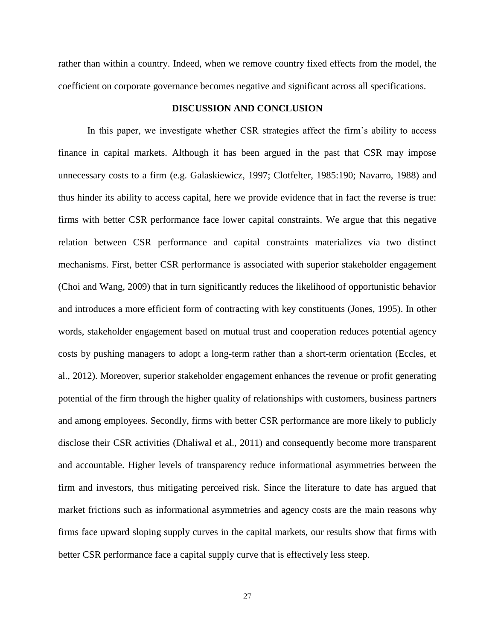rather than within a country. Indeed, when we remove country fixed effects from the model, the coefficient on corporate governance becomes negative and significant across all specifications.

#### **DISCUSSION AND CONCLUSION**

In this paper, we investigate whether CSR strategies affect the firm's ability to access finance in capital markets. Although it has been argued in the past that CSR may impose unnecessary costs to a firm (e.g. Galaskiewicz, 1997; Clotfelter, 1985:190; Navarro, 1988) and thus hinder its ability to access capital, here we provide evidence that in fact the reverse is true: firms with better CSR performance face lower capital constraints. We argue that this negative relation between CSR performance and capital constraints materializes via two distinct mechanisms. First, better CSR performance is associated with superior stakeholder engagement (Choi and Wang, 2009) that in turn significantly reduces the likelihood of opportunistic behavior and introduces a more efficient form of contracting with key constituents (Jones, 1995). In other words, stakeholder engagement based on mutual trust and cooperation reduces potential agency costs by pushing managers to adopt a long-term rather than a short-term orientation (Eccles, et al., 2012). Moreover, superior stakeholder engagement enhances the revenue or profit generating potential of the firm through the higher quality of relationships with customers, business partners and among employees. Secondly, firms with better CSR performance are more likely to publicly disclose their CSR activities (Dhaliwal et al., 2011) and consequently become more transparent and accountable. Higher levels of transparency reduce informational asymmetries between the firm and investors, thus mitigating perceived risk. Since the literature to date has argued that market frictions such as informational asymmetries and agency costs are the main reasons why firms face upward sloping supply curves in the capital markets, our results show that firms with better CSR performance face a capital supply curve that is effectively less steep.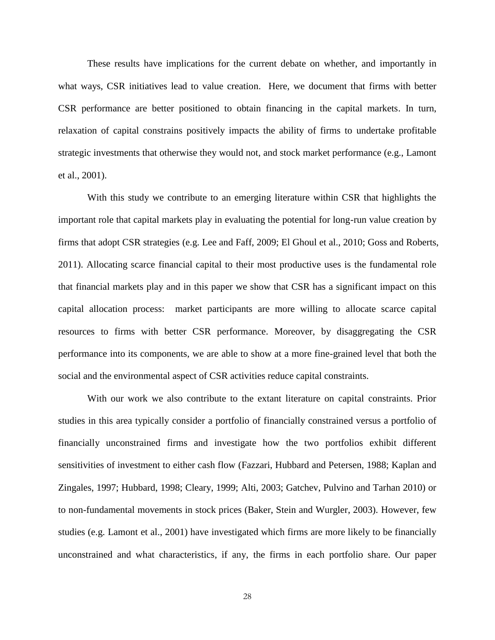These results have implications for the current debate on whether, and importantly in what ways, CSR initiatives lead to value creation. Here, we document that firms with better CSR performance are better positioned to obtain financing in the capital markets. In turn, relaxation of capital constrains positively impacts the ability of firms to undertake profitable strategic investments that otherwise they would not, and stock market performance (e.g., Lamont et al., 2001).

With this study we contribute to an emerging literature within CSR that highlights the important role that capital markets play in evaluating the potential for long-run value creation by firms that adopt CSR strategies (e.g. Lee and Faff, 2009; El Ghoul et al., 2010; Goss and Roberts, 2011). Allocating scarce financial capital to their most productive uses is the fundamental role that financial markets play and in this paper we show that CSR has a significant impact on this capital allocation process: market participants are more willing to allocate scarce capital resources to firms with better CSR performance. Moreover, by disaggregating the CSR performance into its components, we are able to show at a more fine-grained level that both the social and the environmental aspect of CSR activities reduce capital constraints.

With our work we also contribute to the extant literature on capital constraints. Prior studies in this area typically consider a portfolio of financially constrained versus a portfolio of financially unconstrained firms and investigate how the two portfolios exhibit different sensitivities of investment to either cash flow (Fazzari, Hubbard and Petersen, 1988; Kaplan and Zingales, 1997; Hubbard, 1998; Cleary, 1999; Alti, 2003; Gatchev, Pulvino and Tarhan 2010) or to non-fundamental movements in stock prices (Baker, Stein and Wurgler, 2003). However, few studies (e.g. Lamont et al., 2001) have investigated which firms are more likely to be financially unconstrained and what characteristics, if any, the firms in each portfolio share. Our paper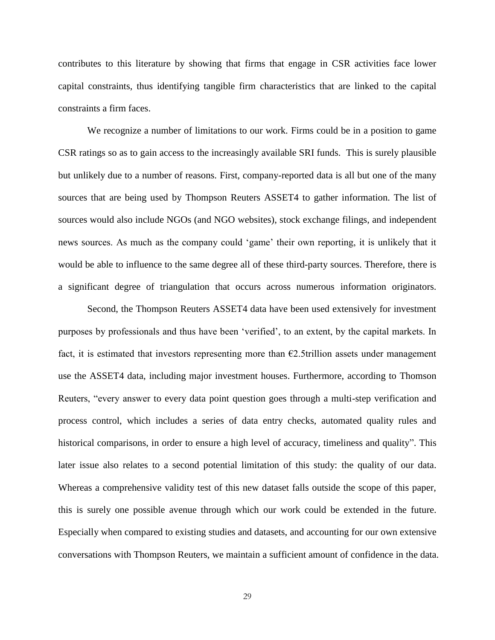contributes to this literature by showing that firms that engage in CSR activities face lower capital constraints, thus identifying tangible firm characteristics that are linked to the capital constraints a firm faces.

We recognize a number of limitations to our work. Firms could be in a position to game CSR ratings so as to gain access to the increasingly available SRI funds. This is surely plausible but unlikely due to a number of reasons. First, company-reported data is all but one of the many sources that are being used by Thompson Reuters ASSET4 to gather information. The list of sources would also include NGOs (and NGO websites), stock exchange filings, and independent news sources. As much as the company could 'game' their own reporting, it is unlikely that it would be able to influence to the same degree all of these third-party sources. Therefore, there is a significant degree of triangulation that occurs across numerous information originators.

Second, the Thompson Reuters ASSET4 data have been used extensively for investment purposes by professionals and thus have been 'verified', to an extent, by the capital markets. In fact, it is estimated that investors representing more than  $E2.5$ trillion assets under management use the ASSET4 data, including major investment houses. Furthermore, according to Thomson Reuters, "every answer to every data point question goes through a multi-step verification and process control, which includes a series of data entry checks, automated quality rules and historical comparisons, in order to ensure a high level of accuracy, timeliness and quality". This later issue also relates to a second potential limitation of this study: the quality of our data. Whereas a comprehensive validity test of this new dataset falls outside the scope of this paper, this is surely one possible avenue through which our work could be extended in the future. Especially when compared to existing studies and datasets, and accounting for our own extensive conversations with Thompson Reuters, we maintain a sufficient amount of confidence in the data.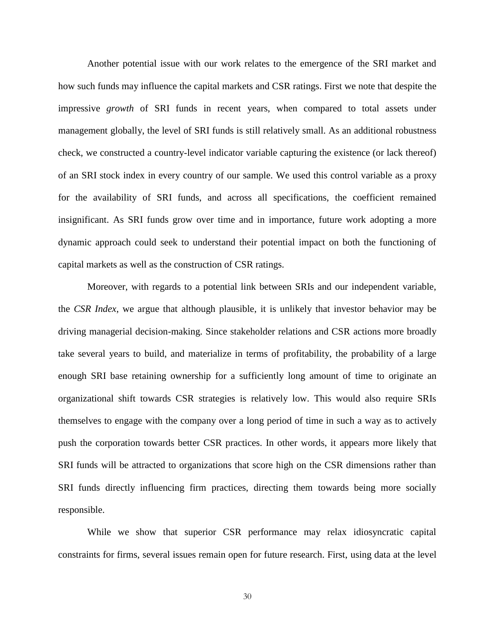Another potential issue with our work relates to the emergence of the SRI market and how such funds may influence the capital markets and CSR ratings. First we note that despite the impressive *growth* of SRI funds in recent years, when compared to total assets under management globally, the level of SRI funds is still relatively small. As an additional robustness check, we constructed a country-level indicator variable capturing the existence (or lack thereof) of an SRI stock index in every country of our sample. We used this control variable as a proxy for the availability of SRI funds, and across all specifications, the coefficient remained insignificant. As SRI funds grow over time and in importance, future work adopting a more dynamic approach could seek to understand their potential impact on both the functioning of capital markets as well as the construction of CSR ratings.

Moreover, with regards to a potential link between SRIs and our independent variable, the *CSR Index*, we argue that although plausible, it is unlikely that investor behavior may be driving managerial decision-making. Since stakeholder relations and CSR actions more broadly take several years to build, and materialize in terms of profitability, the probability of a large enough SRI base retaining ownership for a sufficiently long amount of time to originate an organizational shift towards CSR strategies is relatively low. This would also require SRIs themselves to engage with the company over a long period of time in such a way as to actively push the corporation towards better CSR practices. In other words, it appears more likely that SRI funds will be attracted to organizations that score high on the CSR dimensions rather than SRI funds directly influencing firm practices, directing them towards being more socially responsible.

While we show that superior CSR performance may relax idiosyncratic capital constraints for firms, several issues remain open for future research. First, using data at the level

30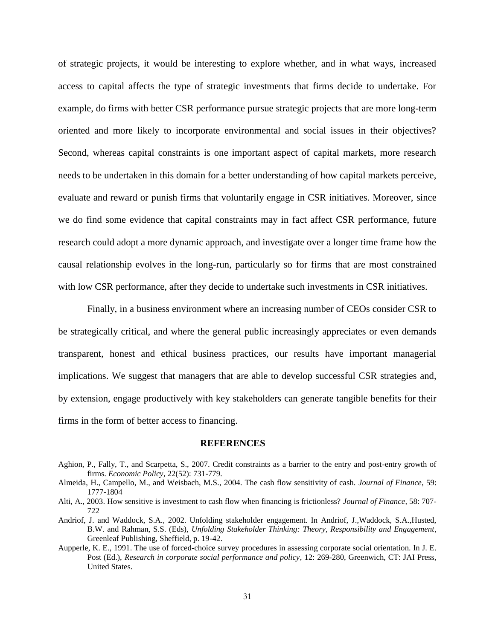of strategic projects, it would be interesting to explore whether, and in what ways, increased access to capital affects the type of strategic investments that firms decide to undertake. For example, do firms with better CSR performance pursue strategic projects that are more long-term oriented and more likely to incorporate environmental and social issues in their objectives? Second, whereas capital constraints is one important aspect of capital markets, more research needs to be undertaken in this domain for a better understanding of how capital markets perceive, evaluate and reward or punish firms that voluntarily engage in CSR initiatives. Moreover, since we do find some evidence that capital constraints may in fact affect CSR performance, future research could adopt a more dynamic approach, and investigate over a longer time frame how the causal relationship evolves in the long-run, particularly so for firms that are most constrained with low CSR performance, after they decide to undertake such investments in CSR initiatives.

Finally, in a business environment where an increasing number of CEOs consider CSR to be strategically critical, and where the general public increasingly appreciates or even demands transparent, honest and ethical business practices, our results have important managerial implications. We suggest that managers that are able to develop successful CSR strategies and, by extension, engage productively with key stakeholders can generate tangible benefits for their firms in the form of better access to financing.

#### **REFERENCES**

- Aghion, P., Fally, T., and Scarpetta, S., 2007. Credit constraints as a barrier to the entry and post-entry growth of firms. *Economic Policy,* 22(52): 731-779.
- Almeida, H., Campello, M., and Weisbach, M.S., 2004. The cash flow sensitivity of cash. *Journal of Finance*, 59: 1777-1804
- Alti, A., 2003. How sensitive is investment to cash flow when financing is frictionless? *Journal of Finance,* 58: 707- 722
- Andriof, J. and Waddock, S.A., 2002. Unfolding stakeholder engagement. In Andriof, J.,Waddock, S.A.,Husted, B.W. and Rahman, S.S. (Eds), *Unfolding Stakeholder Thinking: Theory, Responsibility and Engagement*, Greenleaf Publishing, Sheffield, p. 19-42.
- Aupperle, K. E., 1991. The use of forced-choice survey procedures in assessing corporate social orientation. In J. E. Post (Ed.), *Research in corporate social performance and policy*, 12: 269-280, Greenwich, CT: JAI Press, United States.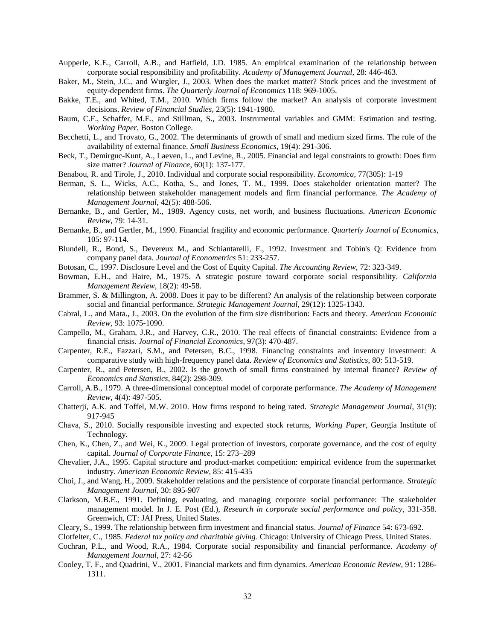- Aupperle, K.E., Carroll, A.B., and Hatfield, J.D. 1985. An empirical examination of the relationship between corporate social responsibility and profitability. *Academy of Management Journal,* 28: 446-463.
- Baker, M., Stein, J.C., and Wurgler, J., 2003. When does the market matter? Stock prices and the investment of equity-dependent firms. *The Quarterly Journal of Economics* 118: 969-1005.
- Bakke, T.E., and Whited, T.M., 2010. Which firms follow the market? An analysis of corporate investment decisions. *Review of Financial Studies,* 23(5): 1941-1980.
- Baum, C.F., Schaffer, M.E., and Stillman, S., 2003. Instrumental variables and GMM: Estimation and testing. *Working Paper*, Boston College.
- Becchetti, L., and Trovato, G., 2002. The determinants of growth of small and medium sized firms. The role of the availability of external finance. *Small Business Economics*, 19(4): 291-306.
- Beck, T., Demirguc-Kunt, A., Laeven, L., and Levine, R., 2005. Financial and legal constraints to growth: Does firm size matter? *Journal of Finance*, 60(1): 137-177.
- Benabou, R. and Tirole, J., 2010. Individual and corporate social responsibility. *Economica*, 77(305): 1-19
- Berman, S. L., Wicks, A.C., Kotha, S., and Jones, T. M., 1999. Does stakeholder orientation matter? The relationship between stakeholder management models and firm financial performance. *The Academy of Management Journal*, 42(5): 488-506.
- Bernanke, B., and Gertler, M., 1989. Agency costs, net worth, and business fluctuations. *American Economic Review*, 79: 14-31.
- Bernanke, B., and Gertler, M., 1990. Financial fragility and economic performance. *Quarterly Journal of Economics*, 105: 97-114.
- Blundell, R., Bond, S., Devereux M., and Schiantarelli, F., 1992. Investment and Tobin's Q: Evidence from company panel data. *Journal of Econometrics* 51: 233-257.
- Botosan, C., 1997. Disclosure Level and the Cost of Equity Capital. *The Accounting Review,* 72: 323-349.
- Bowman, E.H., and Haire, M., 1975. A strategic posture toward corporate social responsibility. *California Management Review*, 18(2): 49-58.
- Brammer, S. & Millington, A. 2008. Does it pay to be different? An analysis of the relationship between corporate social and financial performance. *Strategic Management Journal*, 29(12): 1325-1343.
- Cabral, L., and Mata., J., 2003. On the evolution of the firm size distribution: Facts and theory. *American Economic Review*, 93: 1075-1090.
- Campello, M., Graham, J.R., and Harvey, C.R., 2010. The real effects of financial constraints: Evidence from a financial crisis. *Journal of Financial Economics*, 97(3): 470-487.
- Carpenter, R.E., Fazzari, S.M., and Petersen, B.C., 1998. Financing constraints and inventory investment: A comparative study with high-frequency panel data. *Review of Economics and Statistics*, 80: 513-519.
- Carpenter, R., and Petersen, B., 2002. Is the growth of small firms constrained by internal finance? *Review of Economics and Statistics*, 84(2): 298-309.
- Carroll, A.B., 1979. A three-dimensional conceptual model of corporate performance. *The Academy of Management Review*, 4(4): 497-505.
- Chatterji, A.K. and Toffel, M.W. 2010. How firms respond to being rated. *Strategic Management Journal*, 31(9): 917-945
- Chava, S., 2010. Socially responsible investing and expected stock returns, *Working Paper*, Georgia Institute of Technology.
- Chen, K., Chen, Z., and Wei, K., 2009. Legal protection of investors, corporate governance, and the cost of equity capital. *Journal of Corporate Finance,* 15: 273–289
- Chevalier, J.A., 1995. Capital structure and product-market competition: empirical evidence from the supermarket industry. *American Economic Review*, 85: 415-435
- Choi, J., and Wang, H., 2009. Stakeholder relations and the persistence of corporate financial performance. *Strategic Management Journal,* 30: 895-907
- Clarkson, M.B.E., 1991. Defining, evaluating, and managing corporate social performance: The stakeholder management model. In J. E. Post (Ed.), *Research in corporate social performance and policy*, 331-358. Greenwich, CT: JAI Press, United States.
- Cleary, S., 1999. The relationship between firm investment and financial status. *Journal of Finance* 54: 673-692.

Clotfelter, C., 1985. *Federal tax policy and charitable giving*. Chicago: University of Chicago Press, United States.

- Cochran, P.L., and Wood, R.A., 1984. Corporate social responsibility and financial performance. *Academy of Management Journal*, 27: 42-56
- Cooley, T. F., and Quadrini, V., 2001. Financial markets and firm dynamics. *American Economic Review*, 91: 1286- 1311.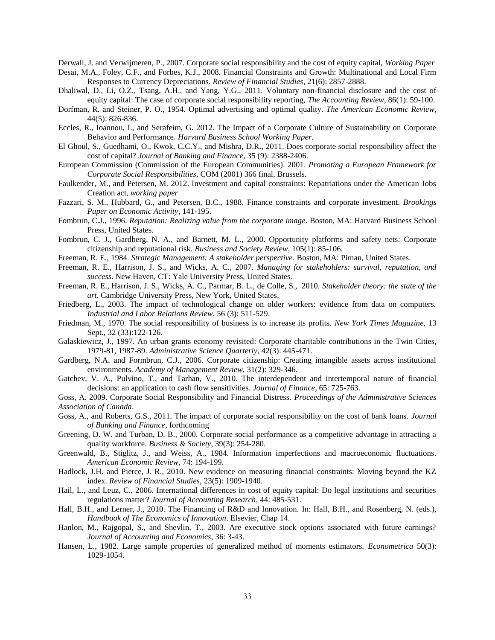Derwall, J. and Verwijmeren, P., 2007. Corporate social responsibility and the cost of equity capital, *Working Paper* Desai, M.A., Foley, C.F., and Forbes, K.J., 2008. Financial Constraints and Growth: Multinational and Local Firm

Responses to Currency Depreciations. *Review of Financial Studies*, 21(6): 2857-2888.

- Dhaliwal, D., Li, O.Z., Tsang, A.H., and Yang, Y.G., 2011. Voluntary non-financial disclosure and the cost of equity capital: The case of corporate social responsibility reporting, *The Accounting Review*, 86(1): 59-100.
- Dorfman, R. and Steiner, P. O., 1954. Optimal advertising and optimal quality. *The American Economic Review*, 44(5): 826-836.
- Eccles, R., Ioannou, I., and Serafeim, G. 2012. The Impact of a Corporate Culture of Sustainability on Corporate Behavior and Performance. *Harvard Business School Working Paper.*
- El Ghoul, S., Guedhami, O., Kwok, C.C.Y., and Mishra, D.R., 2011. Does corporate social responsibility affect the cost of capital? *Journal of Banking and Finance,* 35 (9): 2388-2406.
- European Commission (Commission of the European Communities). 2001. *Promoting a European Framework for Corporate Social Responsibilities*, COM (2001) 366 final, Brussels.
- Faulkender, M., and Petersen, M. 2012. Investment and capital constraints: Repatriations under the American Jobs Creation act, *working paper*
- Fazzari, S. M., Hubbard, G., and Petersen, B.C., 1988. Finance constraints and corporate investment. *Brookings Paper on Economic Activity*, 141-195.
- Fombrun, C.J., 1996. *Reputation: Realizing value from the corporate image*. Boston, MA: Harvard Business School Press, United States.
- Fombrun, C. J., Gardberg, N. A., and Barnett, M. L., 2000. Opportunity platforms and safety nets: Corporate citizenship and reputational risk. *Business and Society Review*, 105(1): 85-106.
- Freeman, R. E., 1984. *Strategic Management: A stakeholder perspective*. Boston, MA: Piman, United States.
- Freeman, R. E., Harrison, J. S., and Wicks, A. C., 2007. *Managing for stakeholders: survival, reputation, and success*. New Haven, CT: Yale University Press, United States.
- Freeman, R. E., Harrison, J. S., Wicks, A. C., Parmar, B. L., de Colle, S., 2010. *Stakeholder theory: the state of the art*. Cambridge University Press, New York, United States.
- Friedberg, L., 2003. The impact of technological change on older workers: evidence from data on computers. *Industrial and Labor Relations Review*, 56 (3): 511-529.
- Friedman, M., 1970. The social responsibility of business is to increase its profits. *New York Times Magazine,* 13 Sept., 32 (33):122-126.
- Galaskiewicz, J., 1997. An urban grants economy revisited: Corporate charitable contributions in the Twin Cities, 1979-81, 1987-89. *Administrative Science Quarterly*, 42(3): 445-471.
- Gardberg, N.A. and Formbrun, C.J., 2006. Corporate citizenship: Creating intangible assets across institutional environments. *Academy of Management Review,* 31(2): 329-346.
- Gatchev, V. A., Pulvino, T., and Tarhan, V., 2010. The interdependent and intertemporal nature of financial decisions: an application to cash flow sensitivities. *Journal of Finance,* 65: 725-763.
- Goss, A. 2009. Corporate Social Responsibility and Financial Distress. *Proceedings of the Administrative Sciences Association of Canada*.
- Goss, A., and Roberts, G.S., 2011. The impact of corporate social responsibility on the cost of bank loans. *Journal of Banking and Finance*, forthcoming
- Greening, D. W. and Turban, D. B., 2000. Corporate social performance as a competitive advantage in attracting a quality workforce. *Business & Society*, 39(3): 254-280.
- Greenwald, B., Stiglitz, J., and Weiss, A., 1984. Information imperfections and macroeconomic fluctuations. *American Economic Review,* 74: 194-199.
- Hadlock, J.H. and Pierce, J. R., 2010. New evidence on measuring financial constraints: Moving beyond the KZ index. *Review of Financial Studies*, 23(5): 1909-1940.
- Hail, L., and Leuz, C., 2006. International differences in cost of equity capital: Do legal institutions and securities regulations matter? *Journal of Accounting Research*, 44: 485-531.
- Hall, B.H., and Lerner, J., 2010. The Financing of R&D and Innovation. In: Hall, B.H., and Rosenberg, N. (eds.), *Handbook of The Economics of Innovation*. Elsevier, Chap 14.
- Hanlon, M., Rajgopal, S., and Shevlin, T., 2003. Are executive stock options associated with future earnings? *Journal of Accounting and Economics*, 36: 3-43.
- Hansen, L., 1982. Large sample properties of generalized method of moments estimators. *Econometrica* 50(3): 1029-1054.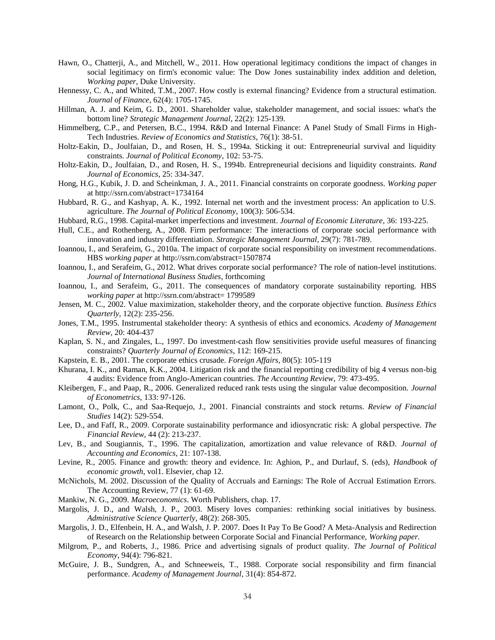- Hawn, O., Chatterji, A., and Mitchell, W., 2011. How operational legitimacy conditions the impact of changes in social legitimacy on firm's economic value: The Dow Jones sustainability index addition and deletion, *Working paper*, Duke University.
- Hennessy, C. A., and Whited, T.M., 2007. How costly is external financing? Evidence from a structural estimation. *Journal of Finance*, 62(4): 1705-1745.
- Hillman, A. J. and Keim, G. D., 2001. Shareholder value, stakeholder management, and social issues: what's the bottom line? *Strategic Management Journal*, 22(2): 125-139.
- Himmelberg, C.P., and Petersen, B.C., 1994. R&D and Internal Finance: A Panel Study of Small Firms in High-Tech Industries. *Review of Economics and Statistics*, 76(1): 38-51.
- Holtz-Eakin, D., Joulfaian, D., and Rosen, H. S., 1994a. Sticking it out: Entrepreneurial survival and liquidity constraints. *Journal of Political Economy*, 102: 53-75.
- Holtz-Eakin, D., Joulfaian, D., and Rosen, H. S., 1994b. Entrepreneurial decisions and liquidity constraints. *Rand Journal of Economics*, 25: 334-347.
- Hong, H.G., Kubik, J. D. and Scheinkman, J. A., 2011. Financial constraints on corporate goodness. *Working paper* at http://ssrn.com/abstract=1734164
- Hubbard, R. G., and Kashyap, A. K., 1992. Internal net worth and the investment process: An application to U.S. agriculture. *The Journal of Political Economy*, 100(3): 506-534.
- Hubbard, R.G., 1998. Capital-market imperfections and investment. *Journal of Economic Literature*, 36: 193-225.
- Hull, C.E., and Rothenberg, A., 2008. Firm performance: The interactions of corporate social performance with innovation and industry differentiation. *Strategic Management Journal*, 29(7): 781-789.
- Ioannou, I., and Serafeim, G., 2010a. The impact of corporate social responsibility on investment recommendations. HBS *working paper* at http://ssrn.com/abstract=1507874
- Ioannou, I., and Serafeim, G., 2012. What drives corporate social performance? The role of nation-level institutions. *Journal of International Business Studies*, forthcoming
- Ioannou, I., and Serafeim, G., 2011. The consequences of mandatory corporate sustainability reporting. HBS *working paper* at http://ssrn.com/abstract= 1799589
- Jensen, M. C., 2002. Value maximization, stakeholder theory, and the corporate objective function. *Business Ethics Quarterly*, 12(2): 235-256.
- Jones, T.M., 1995. Instrumental stakeholder theory: A synthesis of ethics and economics. *Academy of Management Review,* 20: 404-437
- Kaplan, S. N., and Zingales, L., 1997. Do investment-cash flow sensitivities provide useful measures of financing constraints? *Quarterly Journal of Economics*, 112: 169-215.
- Kapstein, E. B., 2001. The corporate ethics crusade. *Foreign Affairs*, 80(5): 105-119
- Khurana, I. K., and Raman, K.K., 2004. Litigation risk and the financial reporting credibility of big 4 versus non-big 4 audits: Evidence from Anglo-American countries. *The Accounting Review*, 79: 473-495.
- Kleibergen, F., and Paap, R., 2006. Generalized reduced rank tests using the singular value decomposition. *Journal of Econometrics,* 133: 97-126.
- Lamont, O., Polk, C., and Saa-Requejo, J., 2001. Financial constraints and stock returns. *Review of Financial Studies* 14(2): 529-554.
- Lee, D., and Faff, R., 2009. Corporate sustainability performance and idiosyncratic risk: A global perspective. *The Financial Review,* 44 (2): 213-237.
- Lev, B., and Sougiannis, T., 1996. The capitalization, amortization and value relevance of R&D. *Journal of Accounting and Economics*, 21: 107-138.
- Levine, R., 2005. Finance and growth: theory and evidence. In: Aghion, P., and Durlauf, S. (eds), *Handbook of economic growth*, vol1. Elsevier, chap 12.
- McNichols, M. 2002. Discussion of the Quality of Accruals and Earnings: The Role of Accrual Estimation Errors. The Accounting Review, 77 (1): 61-69.
- Mankiw, N. G., 2009. *Macroeconomics*. Worth Publishers, chap. 17.
- Margolis, J. D., and Walsh, J. P., 2003. Misery loves companies: rethinking social initiatives by business. *Administrative Science Quarterly*, 48(2): 268-305.
- Margolis, J. D., Elfenbein, H. A., and Walsh, J. P. 2007. Does It Pay To Be Good? A Meta-Analysis and Redirection of Research on the Relationship between Corporate Social and Financial Performance, *Working paper.*
- Milgrom, P., and Roberts, J., 1986. Price and advertising signals of product quality. *The Journal of Political Economy*, 94(4): 796-821.
- McGuire, J. B., Sundgren, A., and Schneeweis, T., 1988. Corporate social responsibility and firm financial performance. *Academy of Management Journal*, 31(4): 854-872.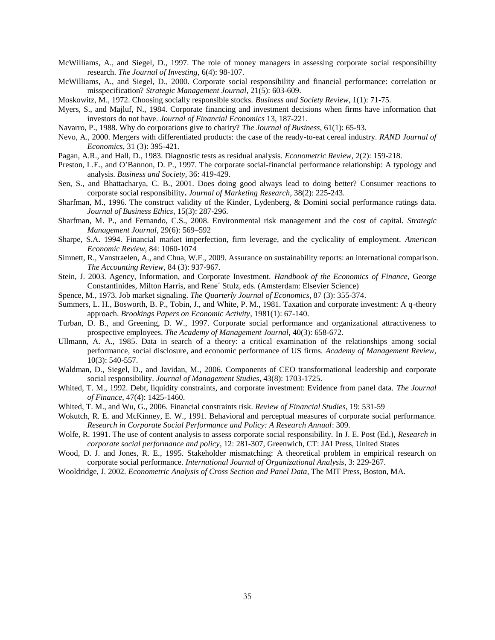- McWilliams, A., and Siegel, D., 1997. The role of money managers in assessing corporate social responsibility research. *The Journal of Investing*, 6(4): 98-107.
- McWilliams, A., and Siegel, D., 2000. Corporate social responsibility and financial performance: correlation or misspecification? *Strategic Management Journal*, 21(5): 603-609.
- Moskowitz, M., 1972. Choosing socially responsible stocks. *Business and Society Review*, 1(1): 71-75.
- Myers, S., and Majluf, N., 1984. Corporate financing and investment decisions when firms have information that investors do not have. *Journal of Financial Economics* 13, 187-221.
- Navarro, P., 1988. Why do corporations give to charity? *The Journal of Business*, 61(1): 65-93.
- Nevo, A., 2000. Mergers with differentiated products: the case of the ready-to-eat cereal industry. *RAND Journal of Economics*, 31 (3): 395-421.
- Pagan, A.R., and Hall, D., 1983. Diagnostic tests as residual analysis. *Econometric Review*, 2(2): 159-218.
- Preston, L.E., and O'Bannon, D. P., 1997. The corporate social-financial performance relationship: A typology and analysis. *Business and Society*, 36: 419-429.
- Sen, S., and Bhattacharya, C. B., 2001. Does doing good always lead to doing better? Consumer reactions to corporate social responsibility**.** *Journal of Marketing Research*, 38(2): 225-243.
- Sharfman, M., 1996. The construct validity of the Kinder, Lydenberg, & Domini social performance ratings data. *Journal of Business Ethics*, 15(3): 287-296.
- Sharfman, M. P., and Fernando, C.S., 2008. Environmental risk management and the cost of capital. *Strategic Management Journal*, 29(6): 569–592
- Sharpe, S.A. 1994. Financial market imperfection, firm leverage, and the cyclicality of employment. *American Economic Review,* 84: 1060-1074
- Simnett, R., Vanstraelen, A., and Chua, W.F., 2009. Assurance on sustainability reports: an international comparison. *The Accounting Review*, 84 (3): 937-967.
- Stein, J. 2003. Agency, Information, and Corporate Investment. *Handbook of the Economics of Finance*, George Constantinides, Milton Harris, and Rene´ Stulz, eds. (Amsterdam: Elsevier Science)
- Spence, M., 1973. Job market signaling. *The Quarterly Journal of Economics*, 87 (3): 355-374.
- Summers, L. H., Bosworth, B. P., Tobin, J., and White, P. M., 1981. Taxation and corporate investment: A q-theory approach. *Brookings Papers on Economic Activity*, 1981(1): 67-140.
- Turban, D. B., and Greening, D. W., 1997. Corporate social performance and organizational attractiveness to prospective employees. *The Academy of Management Journal*, 40(3): 658-672.
- Ullmann, A. A., 1985. Data in search of a theory: a critical examination of the relationships among social performance, social disclosure, and economic performance of US firms. *Academy of Management Review*, 10(3): 540-557.
- Waldman, D., Siegel, D., and Javidan, M., 2006. Components of CEO transformational leadership and corporate social responsibility. *Journal of Management Studies*, 43(8): 1703-1725.
- Whited, T. M., 1992. Debt, liquidity constraints, and corporate investment: Evidence from panel data. *The Journal of Finance*, 47(4): 1425-1460.
- Whited, T. M., and Wu, G., 2006. Financial constraints risk. *Review of Financial Studies*, 19: 531-59
- Wokutch, R. E. and McKinney, E. W., 1991. Behavioral and perceptual measures of corporate social performance. *Research in Corporate Social Performance and Policy: A Research Annual*: 309.
- Wolfe, R. 1991. The use of content analysis to assess corporate social responsibility. In J. E. Post (Ed.), *Research in corporate social performance and policy*, 12: 281-307, Greenwich, CT: JAI Press, United States
- Wood, D. J. and Jones, R. E., 1995. Stakeholder mismatching: A theoretical problem in empirical research on corporate social performance. *International Journal of Organizational Analysis*, 3: 229-267.
- Wooldridge, J. 2002. *Econometric Analysis of Cross Section and Panel Data*, The MIT Press, Boston, MA.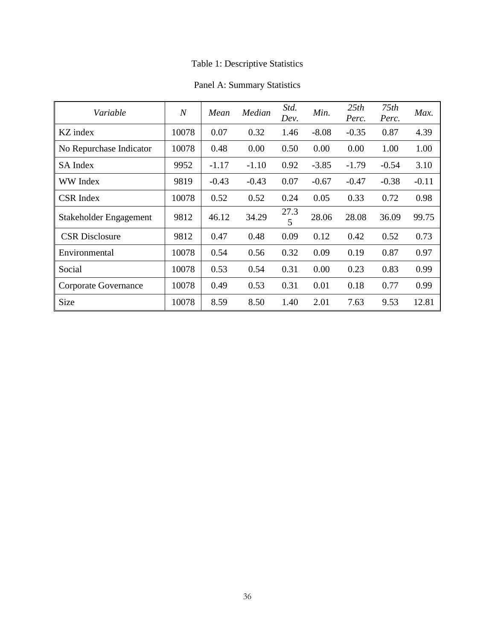## Table 1: Descriptive Statistics

## Panel A: Summary Statistics

| Variable                | $\overline{N}$ | Mean    | Median  | Std.<br>Dev. | Min.    | 25th<br>Perc. | 75th<br>Perc. | Max.    |
|-------------------------|----------------|---------|---------|--------------|---------|---------------|---------------|---------|
| KZ index                | 10078          | 0.07    | 0.32    | 1.46         | $-8.08$ | $-0.35$       | 0.87          | 4.39    |
| No Repurchase Indicator | 10078          | 0.48    | 0.00    | 0.50         | 0.00    | 0.00          | 1.00          | 1.00    |
| SA Index                | 9952           | $-1.17$ | $-1.10$ | 0.92         | $-3.85$ | $-1.79$       | $-0.54$       | 3.10    |
| <b>WW</b> Index         | 9819           | $-0.43$ | $-0.43$ | 0.07         | $-0.67$ | $-0.47$       | $-0.38$       | $-0.11$ |
| <b>CSR</b> Index        | 10078          | 0.52    | 0.52    | 0.24         | 0.05    | 0.33          | 0.72          | 0.98    |
| Stakeholder Engagement  | 9812           | 46.12   | 34.29   | 27.3<br>5    | 28.06   | 28.08         | 36.09         | 99.75   |
| <b>CSR Disclosure</b>   | 9812           | 0.47    | 0.48    | 0.09         | 0.12    | 0.42          | 0.52          | 0.73    |
| Environmental           | 10078          | 0.54    | 0.56    | 0.32         | 0.09    | 0.19          | 0.87          | 0.97    |
| Social                  | 10078          | 0.53    | 0.54    | 0.31         | 0.00    | 0.23          | 0.83          | 0.99    |
| Corporate Governance    | 10078          | 0.49    | 0.53    | 0.31         | 0.01    | 0.18          | 0.77          | 0.99    |
| Size                    | 10078          | 8.59    | 8.50    | 1.40         | 2.01    | 7.63          | 9.53          | 12.81   |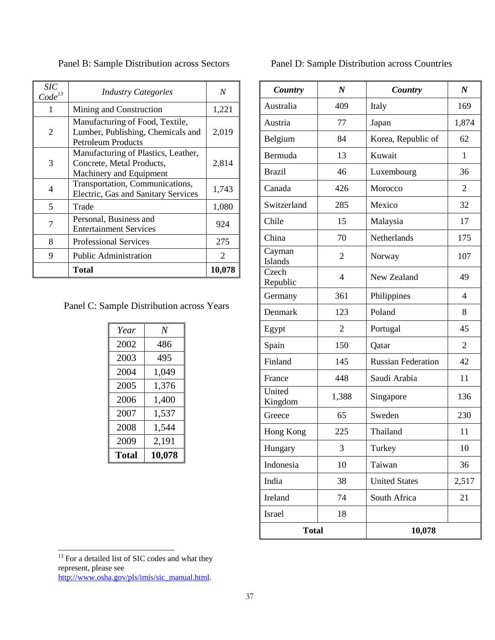| <i>SIC</i><br>$Code^{13}$ | <b>Industry Categories</b>                                                                        | N      |
|---------------------------|---------------------------------------------------------------------------------------------------|--------|
|                           | Mining and Construction                                                                           | 1,221  |
| 2                         | Manufacturing of Food, Textile,<br>Lumber, Publishing, Chemicals and<br><b>Petroleum Products</b> | 2,019  |
| 3                         | Manufacturing of Plastics, Leather,<br>Concrete, Metal Products,<br>Machinery and Equipment       | 2,814  |
| 4                         | Transportation, Communications,<br>Electric, Gas and Sanitary Services                            | 1,743  |
| 5                         | Trade                                                                                             | 1,080  |
| 7                         | Personal, Business and<br><b>Entertainment Services</b>                                           | 924    |
| 8                         | <b>Professional Services</b>                                                                      | 275    |
| 9                         | <b>Public Administration</b>                                                                      | 2      |
|                           | Total                                                                                             | 10,078 |

Panel B: Sample Distribution across Sectors

Panel C: Sample Distribution across Years

| Year  | N      |
|-------|--------|
| 2002  | 486    |
| 2003  | 495    |
| 2004  | 1,049  |
| 2005  | 1,376  |
| 2006  | 1,400  |
| 2007  | 1,537  |
| 2008  | 1,544  |
| 2009  | 2,191  |
| Total | 10,078 |

## Panel D: Sample Distribution across Countries

| Country           | $\boldsymbol{N}$ | Country                   | $\boldsymbol{N}$         |
|-------------------|------------------|---------------------------|--------------------------|
| Australia         | 409              | Italy                     | 169                      |
| Austria           | 77               | Japan                     | 1,874                    |
| Belgium           | 84               | Korea, Republic of        | 62                       |
| Bermuda           | 13               | Kuwait                    | 1                        |
| <b>Brazil</b>     | 46               | Luxembourg                | 36                       |
| Canada            | 426              | Morocco                   | $\overline{2}$           |
| Switzerland       | 285              | Mexico                    | 32                       |
| Chile             | 15               | Malaysia                  | 17                       |
| China             | 70               | Netherlands               | 175                      |
| Cayman<br>Islands | $\overline{2}$   | Norway                    | 107                      |
| Czech<br>Republic | $\overline{4}$   | New Zealand               | 49                       |
| Germany           | 361              | Philippines               | $\overline{\mathcal{A}}$ |
| Denmark           | 123              | Poland                    | 8                        |
| Egypt             | $\overline{2}$   | Portugal                  | 45                       |
| Spain             | 150              | Qatar                     | $\overline{2}$           |
| Finland           | 145              | <b>Russian Federation</b> | 42                       |
| France            | 448              | Saudi Arabia              | 11                       |
| United<br>Kingdom | 1,388            | Singapore                 | 136                      |
| Greece            | 65               | Sweden                    | 230                      |
| Hong Kong         | 225              | Thailand                  | 11                       |
| Hungary           | 3                | Turkey                    | 10                       |
| Indonesia         | 10               | Taiwan                    | 36                       |
| India             | 38               | <b>United States</b>      | 2,517                    |
| Ireland           | 74               | South Africa              | 21                       |
| Israel            | 18               |                           |                          |
| <b>Total</b>      |                  | 10,078                    |                          |

l

 $13$  For a detailed list of SIC codes and what they represent, please see [http://www.osha.gov/pls/imis/sic\\_manual.html.](http://www.osha.gov/pls/imis/sic_manual.html)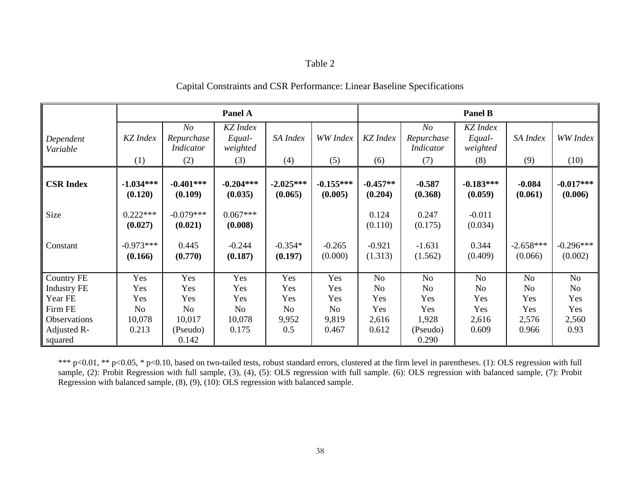## Table 2

### Capital Constraints and CSR Performance: Linear Baseline Specifications

|                        | Panel A                |                                       |                                |                        | <b>Panel B</b>         |                       |                                |                                |                        |                        |
|------------------------|------------------------|---------------------------------------|--------------------------------|------------------------|------------------------|-----------------------|--------------------------------|--------------------------------|------------------------|------------------------|
| Dependent<br>Variable  | KZ Index               | N o<br>Repurchase<br><b>Indicator</b> | KZ Index<br>Equal-<br>weighted | SA Index               | WW Index               | <b>KZ</b> Index       | N o<br>Repurchase<br>Indicator | KZ Index<br>Equal-<br>weighted | SA Index               | WW Index               |
|                        | (1)                    | (2)                                   | (3)                            | (4)                    | (5)                    | (6)                   | (7)                            | (8)                            | (9)                    | (10)                   |
| <b>CSR Index</b>       | $-1.034***$<br>(0.120) | $-0.401***$<br>(0.109)                | $-0.204***$<br>(0.035)         | $-2.025***$<br>(0.065) | $-0.155***$<br>(0.005) | $-0.457**$<br>(0.204) | $-0.587$<br>(0.368)            | $-0.183***$<br>(0.059)         | $-0.084$<br>(0.061)    | $-0.017***$<br>(0.006) |
| Size                   | $0.222***$<br>(0.027)  | $-0.079***$<br>(0.021)                | $0.067***$<br>(0.008)          |                        |                        | 0.124<br>(0.110)      | 0.247<br>(0.175)               | $-0.011$<br>(0.034)            |                        |                        |
| Constant               | $-0.973***$<br>(0.166) | 0.445<br>(0.770)                      | $-0.244$<br>(0.187)            | $-0.354*$<br>(0.197)   | $-0.265$<br>(0.000)    | $-0.921$<br>(1.313)   | $-1.631$<br>(1.562)            | 0.344<br>(0.409)               | $-2.658***$<br>(0.066) | $-0.296***$<br>(0.002) |
| <b>Country FE</b>      | Yes                    | Yes                                   | Yes                            | Yes                    | Yes                    | N <sub>o</sub>        | No                             | No                             | N <sub>o</sub>         | No                     |
| <b>Industry FE</b>     | Yes                    | Yes                                   | Yes                            | Yes                    | Yes                    | N <sub>0</sub>        | No                             | N <sub>o</sub>                 | N <sub>o</sub>         | No                     |
| Year FE                | Yes                    | Yes                                   | Yes                            | Yes                    | Yes                    | Yes                   | Yes                            | Yes                            | Yes                    | Yes                    |
| Firm FE                | N <sub>o</sub>         | N <sub>o</sub>                        | N <sub>o</sub>                 | <b>No</b>              | N <sub>o</sub>         | Yes                   | Yes                            | Yes                            | Yes                    | Yes                    |
| Observations           | 10,078                 | 10,017                                | 10,078                         | 9,952                  | 9,819                  | 2,616                 | 1,928                          | 2,616                          | 2,576                  | 2,560                  |
| Adjusted R-<br>squared | 0.213                  | (Pseudo)<br>0.142                     | 0.175                          | 0.5                    | 0.467                  | 0.612                 | (Pseudo)<br>0.290              | 0.609                          | 0.966                  | 0.93                   |

\*\*\* p<0.01, \*\* p<0.05, \* p<0.10, based on two-tailed tests, robust standard errors, clustered at the firm level in parentheses. (1): OLS regression with full sample, (2): Probit Regression with full sample, (3), (4), (5): OLS regression with full sample. (6): OLS regression with balanced sample, (7): Probit Regression with balanced sample, (8), (9), (10): OLS regression with balanced sample.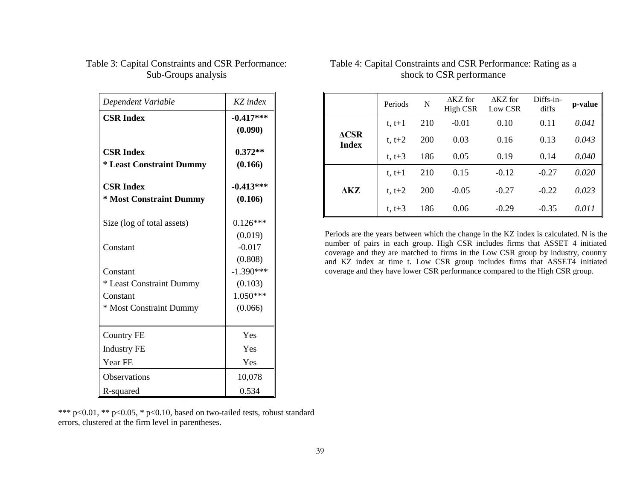| Dependent Variable                                  | KZ index               |
|-----------------------------------------------------|------------------------|
| <b>CSR Index</b>                                    | $-0.417***$<br>(0.090) |
| <b>CSR Index</b><br><b>* Least Constraint Dummy</b> | $0.372**$<br>(0.166)   |
| <b>CSR Index</b><br>* Most Constraint Dummy         | $-0.413***$<br>(0.106) |
| Size (log of total assets)                          | $0.126***$<br>(0.019)  |
| Constant                                            | $-0.017$<br>(0.808)    |
| Constant                                            | $-1.390***$            |
| * Least Constraint Dummy                            | (0.103)                |
| Constant                                            | 1.050***               |
| * Most Constraint Dummy                             | (0.066)                |
| <b>Country FE</b>                                   | Yes                    |
| <b>Industry FE</b>                                  | Yes                    |
| Year FE                                             | Yes                    |
| <b>Observations</b>                                 | 10,078                 |
| R-squared                                           | 0.534                  |

## Table 3: Capital Constraints and CSR Performance: Sub-Groups analysis

\*\*\* p<0.01, \*\* p<0.05, \* p<0.10, based on two-tailed tests, robust standard errors, clustered at the firm level in parentheses.

|                                 | Periods    | N   | $\triangle$ KZ for<br>High CSR | $\triangle$ KZ for<br>Low CSR | Diffs-in-<br>diffs | p-value |
|---------------------------------|------------|-----|--------------------------------|-------------------------------|--------------------|---------|
|                                 | $t, t+1$   | 210 | $-0.01$                        | 0.10                          | 0.11               | 0.041   |
| $\triangle$ CSR<br><b>Index</b> | $t, t+2$   | 200 | 0.03                           | 0.16                          | 0.13               | 0.043   |
|                                 | $t, t+3$   | 186 | 0.05                           | 0.19                          | 0.14               | 0.040   |
|                                 | $t, t+1$   | 210 | 0.15                           | $-0.12$                       | $-0.27$            | 0.020   |
| <b>AKZ</b>                      | $t, t+2$   | 200 | $-0.05$                        | $-0.27$                       | $-0.22$            | 0.023   |
|                                 | t, $t + 3$ | 186 | 0.06                           | $-0.29$                       | $-0.35$            | 0.011   |

## Table 4: Capital Constraints and CSR Performance: Rating as a shock to CSR performance

Periods are the years between which the change in the KZ index is calculated. N is the number of pairs in each group. High CSR includes firms that ASSET 4 initiated coverage and they are matched to firms in the Low CSR group by industry, country and KZ index at time t. Low CSR group includes firms that ASSET4 initiated coverage and they have lower CSR performance compared to the High CSR group.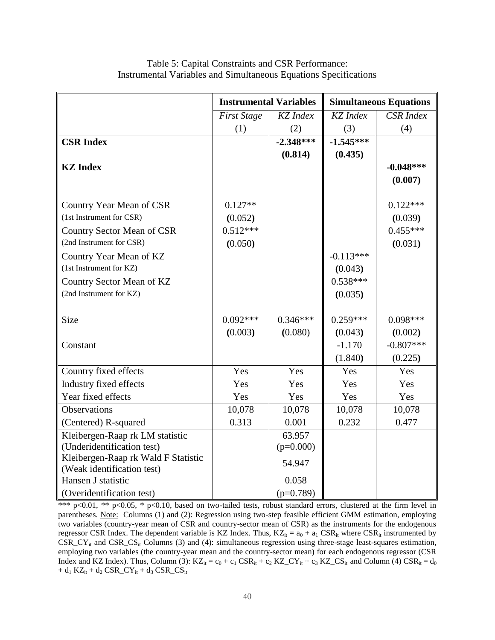|                                     | <b>Instrumental Variables</b> |                 |                 | <b>Simultaneous Equations</b> |
|-------------------------------------|-------------------------------|-----------------|-----------------|-------------------------------|
|                                     | <b>First Stage</b>            | <b>KZ</b> Index | <b>KZ</b> Index | <b>CSR</b> Index              |
|                                     | (1)                           | (2)             | (3)             | (4)                           |
| <b>CSR Index</b>                    |                               | $-2.348***$     | $-1.545***$     |                               |
|                                     |                               | (0.814)         | (0.435)         |                               |
| <b>KZ</b> Index                     |                               |                 |                 | $-0.048***$                   |
|                                     |                               |                 |                 | (0.007)                       |
|                                     |                               |                 |                 |                               |
| Country Year Mean of CSR            | $0.127**$                     |                 |                 | $0.122***$                    |
| (1st Instrument for CSR)            | (0.052)                       |                 |                 | (0.039)                       |
| <b>Country Sector Mean of CSR</b>   | $0.512***$                    |                 |                 | $0.455***$                    |
| (2nd Instrument for CSR)            | (0.050)                       |                 |                 | (0.031)                       |
| Country Year Mean of KZ             |                               |                 | $-0.113***$     |                               |
| (1st Instrument for KZ)             |                               |                 | (0.043)         |                               |
| Country Sector Mean of KZ           |                               |                 | $0.538***$      |                               |
| (2nd Instrument for KZ)             |                               |                 | (0.035)         |                               |
|                                     |                               |                 |                 |                               |
| <b>Size</b>                         | $0.092***$                    | $0.346***$      | $0.259***$      | $0.098***$                    |
|                                     | (0.003)                       | (0.080)         | (0.043)         | (0.002)                       |
| Constant                            |                               |                 | $-1.170$        | $-0.807***$                   |
|                                     |                               |                 | (1.840)         | (0.225)                       |
| Country fixed effects               | Yes                           | Yes             | Yes             | Yes                           |
| Industry fixed effects              | Yes                           | Yes             | Yes             | Yes                           |
| Year fixed effects                  | Yes                           | Yes             | Yes             | Yes                           |
| Observations                        | 10,078                        | 10,078          | 10,078          | 10,078                        |
| (Centered) R-squared                | 0.313                         | 0.001           | 0.232           | 0.477                         |
| Kleibergen-Raap rk LM statistic     |                               | 63.957          |                 |                               |
| (Underidentification test)          |                               | $(p=0.000)$     |                 |                               |
| Kleibergen-Raap rk Wald F Statistic |                               | 54.947          |                 |                               |
| (Weak identification test)          |                               |                 |                 |                               |
| Hansen J statistic                  |                               | 0.058           |                 |                               |
| (Overidentification test)           |                               | $(p=0.789)$     |                 |                               |

Table 5: Capital Constraints and CSR Performance: Instrumental Variables and Simultaneous Equations Specifications

\*\*\* p<0.01, \*\* p<0.05, \* p<0.10, based on two-tailed tests, robust standard errors, clustered at the firm level in parentheses. Note: Columns (1) and (2): Regression using two-step feasible efficient GMM estimation, employing two variables (country-year mean of CSR and country-sector mean of CSR) as the instruments for the endogenous regressor CSR Index. The dependent variable is KZ Index. Thus,  $KZ_{it} = a_0 + a_1 \text{CSR}_{it}$  where CSR<sub>it</sub> instrumented by  $CSR\_CY_{it}$  and  $CSR\_CS_{it}$  Columns (3) and (4): simultaneous regression using three-stage least-squares estimation, employing two variables (the country-year mean and the country-sector mean) for each endogenous regressor (CSR Index and KZ Index). Thus, Column (3):  $KZ_{it} = c_0 + c_1 \text{CSR}_{it} + c_2 \text{ KZ}_CY_{it} + c_3 \text{ KZ}_CS_{it}$  and Column (4)  $CSR_{it} = d_0$  $+ d_1 KZ_{it} + d_2 CSR_CY_{it} + d_3 CSR_CS_{it}$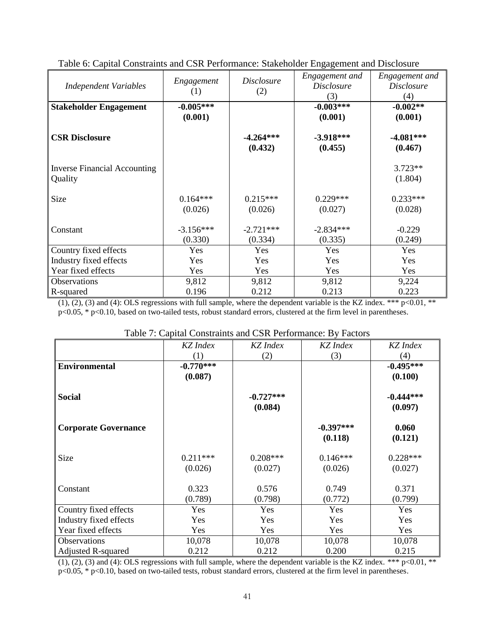| <b>Independent Variables</b>                   | Engagement             | <i>Disclosure</i>      | 070<br>Engagement and<br><i>Disclosure</i> | Engagement and<br><i>Disclosure</i> |
|------------------------------------------------|------------------------|------------------------|--------------------------------------------|-------------------------------------|
|                                                | (1)                    | (2)                    | (3)                                        | (4)                                 |
| <b>Stakeholder Engagement</b>                  | $-0.005***$            |                        | $-0.003***$                                | $-0.002**$                          |
|                                                | (0.001)                |                        | (0.001)                                    | (0.001)                             |
| <b>CSR Disclosure</b>                          |                        | $-4.264***$<br>(0.432) | $-3.918***$<br>(0.455)                     | $-4.081***$<br>(0.467)              |
| <b>Inverse Financial Accounting</b><br>Quality |                        |                        |                                            | $3.723**$<br>(1.804)                |
| Size                                           | $0.164***$<br>(0.026)  | $0.215***$<br>(0.026)  | $0.229***$<br>(0.027)                      | $0.233***$<br>(0.028)               |
| Constant                                       | $-3.156***$<br>(0.330) | $-2.721***$<br>(0.334) | $-2.834***$<br>(0.335)                     | $-0.229$<br>(0.249)                 |
| Country fixed effects                          | Yes                    | Yes                    | Yes                                        | Yes                                 |
| Industry fixed effects                         | Yes                    | Yes                    | Yes                                        | Yes                                 |
| Year fixed effects                             | Yes                    | Yes                    | Yes                                        | Yes                                 |
| Observations                                   | 9,812                  | 9,812                  | 9,812                                      | 9,224                               |
| R-squared                                      | 0.196                  | 0.212                  | 0.213                                      | 0.223                               |

Table 6: Capital Constraints and CSR Performance: Stakeholder Engagement and Disclosure

 $(1)$ ,  $(2)$ ,  $(3)$  and  $(4)$ : OLS regressions with full sample, where the dependent variable is the KZ index. \*\*\* p<0.01, \*\* p<0.05, \* p<0.10, based on two-tailed tests, robust standard errors, clustered at the firm level in parentheses.

|                             | KZ Index    | KZ Index    | KZ Index    | KZ Index    |
|-----------------------------|-------------|-------------|-------------|-------------|
|                             | (1)         | (2)         | (3)         | (4)         |
| <b>Environmental</b>        | $-0.770***$ |             |             | $-0.495***$ |
|                             | (0.087)     |             |             | (0.100)     |
| <b>Social</b>               |             | $-0.727***$ |             | $-0.444***$ |
|                             |             | (0.084)     |             | (0.097)     |
| <b>Corporate Governance</b> |             |             | $-0.397***$ | 0.060       |
|                             |             |             | (0.118)     | (0.121)     |
| <b>Size</b>                 | $0.211***$  | $0.208***$  | $0.146***$  | $0.228***$  |
|                             | (0.026)     | (0.027)     | (0.026)     | (0.027)     |
| Constant                    | 0.323       | 0.576       | 0.749       | 0.371       |
|                             | (0.789)     | (0.798)     | (0.772)     | (0.799)     |
| Country fixed effects       | Yes         | Yes         | Yes         | Yes         |
| Industry fixed effects      | Yes         | Yes         | Yes         | Yes         |
| Year fixed effects          | Yes         | Yes         | Yes         | Yes         |
| <b>Observations</b>         | 10,078      | 10,078      | 10,078      | 10,078      |
| <b>Adjusted R-squared</b>   | 0.212       | 0.212       | 0.200       | 0.215       |

 $(1)$ ,  $(2)$ ,  $(3)$  and  $(4)$ : OLS regressions with full sample, where the dependent variable is the KZ index. \*\*\* p<0.01, \*\* p<0.05, \* p<0.10, based on two-tailed tests, robust standard errors, clustered at the firm level in parentheses.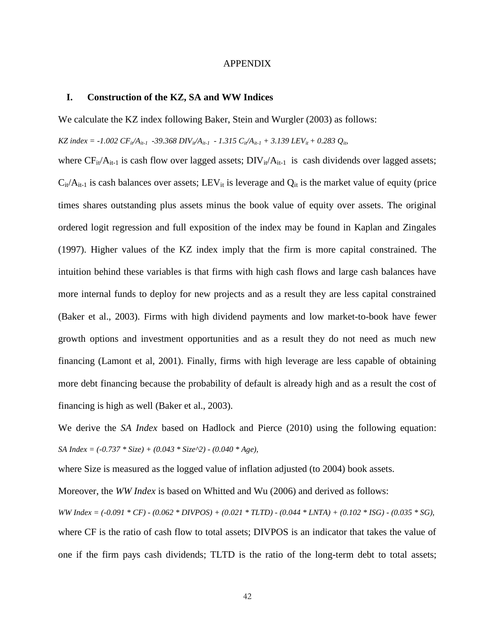#### APPENDIX

#### **I. Construction of the KZ, SA and WW Indices**

We calculate the KZ index following Baker, Stein and Wurgler (2003) as follows:

*KZ* index =  $-1.002 \, CF_i/A_{i}$ <sub>*i*</sub>  $-39.368 \, DIV_i/A_{i}$ <sub>*i*</sub> $-1.315 \, C_i/A_{i}$ <sub>*i*</sub> $+3.139 \, LEV_i + 0.283 \, Q_i$ 

where  $CF_{it}/A_{it-1}$  is cash flow over lagged assets;  $DIV_{it}/A_{it-1}$  is cash dividends over lagged assets;  $C_{it}/A_{it-1}$  is cash balances over assets; LEV<sub>it</sub> is leverage and  $Q_{it}$  is the market value of equity (price times shares outstanding plus assets minus the book value of equity over assets. The original ordered logit regression and full exposition of the index may be found in Kaplan and Zingales (1997). Higher values of the KZ index imply that the firm is more capital constrained. The intuition behind these variables is that firms with high cash flows and large cash balances have more internal funds to deploy for new projects and as a result they are less capital constrained (Baker et al., 2003). Firms with high dividend payments and low market-to-book have fewer growth options and investment opportunities and as a result they do not need as much new financing (Lamont et al, 2001). Finally, firms with high leverage are less capable of obtaining more debt financing because the probability of default is already high and as a result the cost of financing is high as well (Baker et al., 2003).

We derive the *SA Index* based on Hadlock and Pierce (2010) using the following equation: *SA Index = (-0.737 \* Size) + (0.043 \* Size^2) - (0.040 \* Age),*

where Size is measured as the logged value of inflation adjusted (to 2004) book assets.

Moreover, the *WW Index* is based on Whitted and Wu (2006) and derived as follows:

*WW Index = (-0.091 \* CF) - (0.062 \* DIVPOS) + (0.021 \* TLTD) - (0.044 \* LNTA) + (0.102 \* ISG) - (0.035 \* SG),* where CF is the ratio of cash flow to total assets; DIVPOS is an indicator that takes the value of one if the firm pays cash dividends; TLTD is the ratio of the long-term debt to total assets;